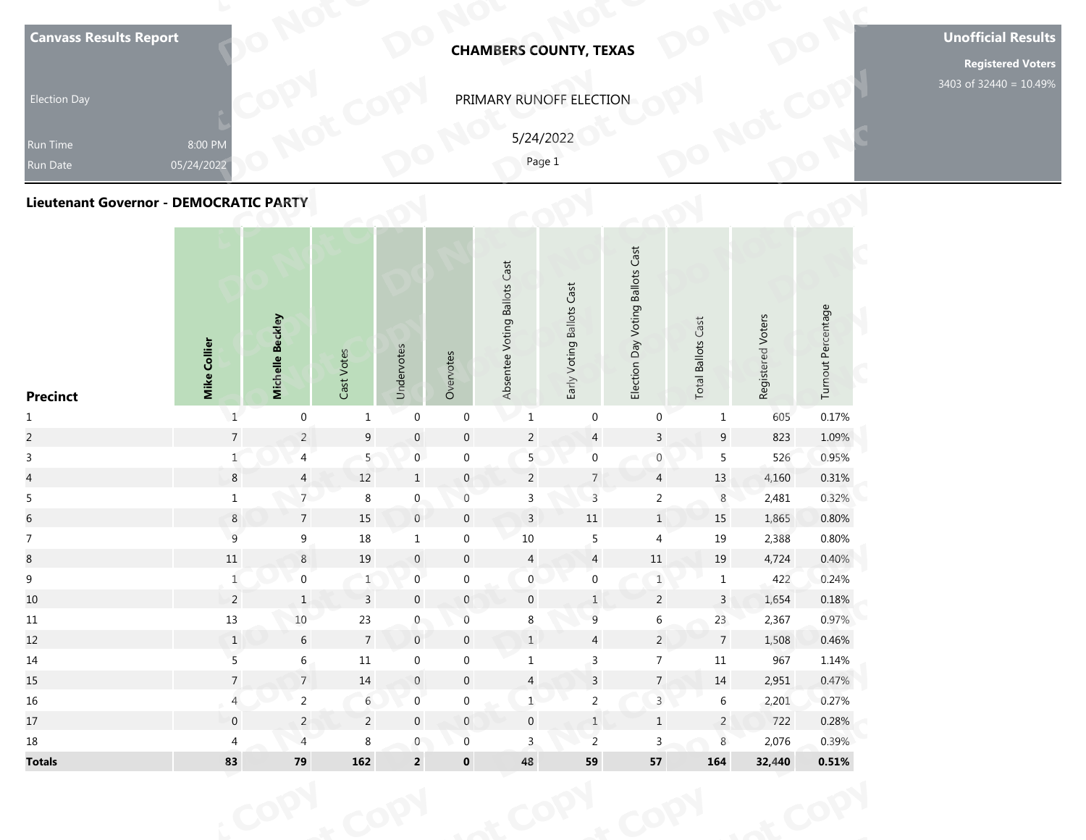| <b>Canvass Results Report</b><br><b>Election Day</b><br>Run Time<br>Run Date | 8:00 PM<br>05/24/2022 |                  |            |            |           |                              | <b>CHAMBERS COUNTY, TEXAS</b><br>PRIMARY RUNOFF ELECTION<br>5/24/2022<br>Page 1 |                                        |                              |                   |                    | <b>Unofficial Results</b><br><b>Registered Voters</b><br>3403 of 32440 = 10.49% |
|------------------------------------------------------------------------------|-----------------------|------------------|------------|------------|-----------|------------------------------|---------------------------------------------------------------------------------|----------------------------------------|------------------------------|-------------------|--------------------|---------------------------------------------------------------------------------|
| Lieutenant Governor - DEMOCRATIC PARTY<br><b>Precinct</b>                    | <b>Mike Collier</b>   | Michelle Beckley | Cast Votes | Undervotes | Overvotes | Absentee Voting Ballots Cast | Early Voting Ballots Cast                                                       | Voting Ballots Cast<br>Day<br>Election | Cast<br><b>Total Ballots</b> | Registered Voters | Turnout Percentage |                                                                                 |

| <b>Canvass Results Report</b>                 |                       |                  |                           |                  |                  |                              | <b>CHAMBERS COUNTY, TEXAS</b> |                                  |                           |                   |                    | <b>Unoffic</b><br>Regi |
|-----------------------------------------------|-----------------------|------------------|---------------------------|------------------|------------------|------------------------------|-------------------------------|----------------------------------|---------------------------|-------------------|--------------------|------------------------|
| <b>Election Day</b>                           |                       |                  |                           |                  |                  |                              | PRIMARY RUNOFF ELECTION       |                                  |                           |                   |                    | 3403 of 32             |
| Run Time<br>Run Date                          | 8:00 PM<br>05/24/2022 |                  |                           |                  |                  |                              | 5/24/2022<br>Page 1           |                                  |                           |                   |                    |                        |
| <b>Lieutenant Governor - DEMOCRATIC PARTY</b> |                       |                  |                           |                  |                  |                              |                               |                                  |                           |                   |                    |                        |
| <b>Precinct</b>                               | Mike Collier          | Michelle Beckley | Cast Votes                | Undervotes       | Overvotes        | Absentee Voting Ballots Cast | Early Voting Ballots Cast     | Election Day Voting Ballots Cast | <b>Total Ballots Cast</b> | Registered Voters | Turnout Percentage |                        |
| $\mathbf{1}$                                  | $\mathbf{1}$          | $\boldsymbol{0}$ | $\mathbf{1}$              | $\boldsymbol{0}$ | $\boldsymbol{0}$ | $\mathbf{1}$                 | $\boldsymbol{0}$              | $\boldsymbol{0}$                 | $\mathbf{1}$              | 605               | 0.17%              |                        |
| $\overline{c}$                                | $\overline{7}$        | $\overline{2}$   | 9                         | $\,0\,$          | $\boldsymbol{0}$ | $\sqrt{2}$                   | $\overline{4}$                | $\overline{3}$                   | $\boldsymbol{9}$          | 823               | 1.09%              |                        |
| $\mathbf{3}$                                  | $\mathbf{1}$          | $\overline{4}$   | 5                         | $\overline{0}$   | $\boldsymbol{0}$ | 5                            | $\boldsymbol{0}$              | $\boldsymbol{0}$                 | 5                         | 526               | 0.95%              |                        |
| $\overline{a}$                                | $\bf 8$               | $\overline{4}$   | $12\,$                    | $\,$ 1 $\,$      | $\pmb{0}$        | $\overline{a}$               | $\sqrt{7}$                    | $\overline{4}$                   | $13\,$                    | 4,160             | 0.31%              |                        |
| $\overline{5}$                                | $\mathbf 1$           | 7 <sup>7</sup>   | $\,8\,$                   | $\boldsymbol{0}$ | $\boldsymbol{0}$ | $\mathsf 3$                  | $\mathsf{3}$                  | $\mathbf 2$                      | $\,8\,$                   | 2,481             | 0.32%              |                        |
| $\sqrt{6}$                                    | $\bf 8$               | $\overline{7}$   | 15                        | $\,0\,$          | $\mathbf 0$      | $\overline{3}$               | $11\,$                        | $1\,$                            | 15                        | 1,865             | 0.80%              |                        |
| $\boldsymbol{7}$                              | $\mathsf 9$           | 9                | $18\,$                    | $\mathbf{1}$     | $\boldsymbol{0}$ | 10                           | $\sqrt{5}$                    | $\overline{4}$                   | 19                        | 2,388             | 0.80%              |                        |
| $8\,$                                         | $11\,$                | $\,8\,$          | 19                        | $\boldsymbol{0}$ | $\boldsymbol{0}$ | $\overline{4}$               | $\overline{4}$                | $11\,$                           | 19                        | 4,724             | 0.40%              |                        |
| $\boldsymbol{9}$                              | $\mathbf 1$           | $\boldsymbol{0}$ | $\ensuremath{\mathsf{1}}$ | $\boldsymbol{0}$ | $\boldsymbol{0}$ | $\mathbf 0$                  | $\boldsymbol{0}$              | $\,1$                            | $\,1$                     | 422               | 0.24%              |                        |
| 10 <sup>°</sup>                               | $\overline{2}$        | $\mathbf{1}$     | $\overline{3}$            | $\boldsymbol{0}$ | $\mathbf{0}$     | $\overline{0}$               | $\mathbf{1}$                  | $\overline{2}$                   | $\mathbf{3}$              | 1,654             | 0.18%              |                        |
| $11\,$                                        | $13\,$                | $10\,$           | $23\,$                    | $\overline{0}$   | $\boldsymbol{0}$ | 8                            | $\overline{9}$                | $6\,$                            | 23                        | 2,367             | 0.97%              |                        |
| 12                                            | $\mathbf{1}$          | $\sqrt{6}$       | $\overline{7}$            | $\,0\,$          | $\pmb{0}$        | $\,$ 1 $\,$                  | $\overline{4}$                | $\overline{2}$                   | $\overline{7}$            | 1,508             | 0.46%              |                        |
| 14                                            | $\overline{5}$        | $6\,$            | $11\,$                    | $\boldsymbol{0}$ | $\boldsymbol{0}$ | $\mathbf{1}$                 | $\mathsf{3}$                  | $\overline{7}$                   | $11\,$                    | 967               | 1.14%              |                        |
| 15                                            | $\overline{7}$        | $\sqrt{ }$       | $14\,$                    | $\boldsymbol{0}$ | $\pmb{0}$        | $\overline{a}$               | $\overline{\mathbf{3}}$       | $7\overline{ }$                  | $14\,$                    | 2,951             | 0.47%              |                        |
| 16                                            | $\overline{4}$        | $\overline{2}$   | $\sqrt{6}$                | $\mathbf 0$      | $\pmb{0}$        | $1 \cdot$                    | $\overline{a}$                | $\overline{3}$                   | $\,6\,$                   | 2,201             | 0.27%              |                        |
| 17                                            | $\boldsymbol{0}$      | $\overline{c}$   | $\overline{2}$            | $\boldsymbol{0}$ | $\mathsf{O}$     | $\mathbf 0$                  | $1\,$                         | $\,$ 1 $\,$                      | $\overline{2}$            | 722               | 0.28%              |                        |
| 18                                            | $\overline{4}$        | $\overline{4}$   | $\bf 8$                   | $\boldsymbol{0}$ | $\boldsymbol{0}$ | $\mathbf{3}$                 | $\overline{c}$                | $\overline{3}$                   | $\,8\,$                   | 2,076             | 0.39%              |                        |
| <b>Totals</b>                                 | 83                    | $\bf 79$         | 162                       | $\mathbf 2$      | $\mathbf 0$      | 48                           | 59                            | 57                               | 164                       | 32,440            | $0.51\%$           |                        |
|                                               |                       |                  |                           |                  |                  |                              |                               |                                  |                           |                   |                    |                        |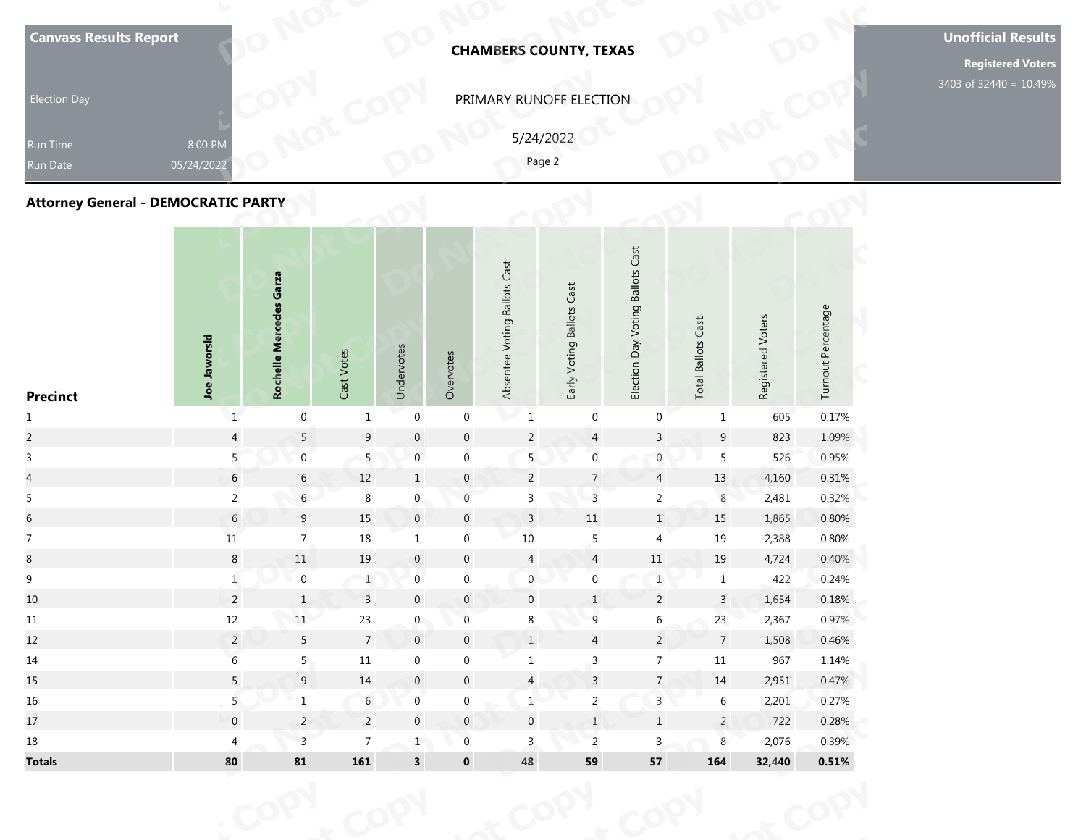| <b>Canvass Results Report</b><br><b>Election Day</b><br>Run Time<br>Run Date<br><b>Attorney General - DEMOCRATIC PARTY</b> | 8:00 PM<br>05/24/2022 |                         |               |            | <b>CHAMBERS COUNTY, TEXAS</b><br>PRIMARY RUNOFF ELECTION<br>5/24/2022<br>Page 2 |                              |                           |                                  |                           |                   |                    | <b>Unofficial Results</b><br><b>Registered Voters</b><br>3403 of 32440 = 10.49% |
|----------------------------------------------------------------------------------------------------------------------------|-----------------------|-------------------------|---------------|------------|---------------------------------------------------------------------------------|------------------------------|---------------------------|----------------------------------|---------------------------|-------------------|--------------------|---------------------------------------------------------------------------------|
| <b>Precinct</b>                                                                                                            | Joe Jaworski          | Rochelle Mercedes Garza | Votes<br>Cast | Undervotes | Overvotes                                                                       | Absentee Voting Ballots Cast | Early Voting Ballots Cast | Election Day Voting Ballots Cast | <b>Total Ballots Cast</b> | Registered Voters | Turnout Percentage |                                                                                 |

| <b>Canvass Results Report</b>              |                       |                         |                           |                         |                  |                              | <b>CHAMBERS COUNTY, TEXAS</b> |                                  |                           |                   |                    | <b>Unoffio</b><br>Regi |
|--------------------------------------------|-----------------------|-------------------------|---------------------------|-------------------------|------------------|------------------------------|-------------------------------|----------------------------------|---------------------------|-------------------|--------------------|------------------------|
| <b>Election Day</b>                        |                       |                         |                           |                         |                  |                              | PRIMARY RUNOFF ELECTION       |                                  |                           |                   |                    | 3403 of 32             |
| Run Time<br>Run Date                       | 8:00 PM<br>05/24/2022 |                         |                           |                         |                  |                              | 5/24/2022<br>Page 2           |                                  |                           |                   |                    |                        |
| <b>Attorney General - DEMOCRATIC PARTY</b> |                       |                         |                           |                         |                  |                              |                               |                                  |                           |                   |                    |                        |
| <b>Precinct</b>                            | Joe Jaworski          | Rochelle Mercedes Garza | Cast Votes                | Undervotes              | Overvotes        | Absentee Voting Ballots Cast | Early Voting Ballots Cast     | Election Day Voting Ballots Cast | <b>Total Ballots Cast</b> | Registered Voters | Turnout Percentage |                        |
| $\mathbf{1}$                               | $\mathbf{1}$          | $\boldsymbol{0}$        | $\mathbf{1}$              | $\boldsymbol{0}$        | $\boldsymbol{0}$ | $\mathbf 1$                  | $\pmb{0}$                     | $\pmb{0}$                        | $\mathbf{1}$              | 605               | 0.17%              |                        |
| $\overline{a}$                             | $\overline{4}$        | $5\phantom{.0}$         | 9                         | $\,0\,$                 | $\mathbf 0$      | $\overline{c}$               | $\overline{4}$                | $\overline{3}$                   | $\boldsymbol{9}$          | 823               | 1.09%              |                        |
| $\mathsf{3}$                               | 5                     | $\overline{0}$          | 5                         | $\overline{0}$          | $\boldsymbol{0}$ | 5                            | $\boldsymbol{0}$              | $\boldsymbol{0}$                 | $\overline{5}$            | 526               | 0.95%              |                        |
| $\overline{a}$                             | $\sqrt{6}$            | $\sqrt{6}$              | $12\,$                    | $\,$ 1                  | $\pmb{0}$        | $\overline{2}$               | $\overline{7}$                | $\overline{4}$                   | $13\,$                    | 4,160             | $0.31\%$           |                        |
| $\overline{5}$                             | $\overline{c}$        | $6\overline{6}$         | $\,8\,$                   | $\mathbf 0$             | $\boldsymbol{0}$ | $\mathsf{3}$                 | $\mathsf{3}$                  | $\sqrt{2}$                       | $\,8\,$                   | 2,481             | 0.32%              |                        |
| $\sqrt{6}$                                 | $\sqrt{6}$            | 9                       | 15                        | $\,0\,$                 | $\mathbf 0$      | $\overline{3}$               | $11\,$                        | $\,1\,$                          | 15                        | 1,865             | 0.80%              |                        |
| $\boldsymbol{7}$                           | $11\,$                | $\boldsymbol{7}$        | $18\,$                    | $\mathbf{1}$            | $\boldsymbol{0}$ | 10                           | $\sqrt{5}$                    | $\overline{4}$                   | 19                        | 2,388             | 0.80%              |                        |
| $8\,$                                      | $\bf 8$               | $11\,$                  | $19\,$                    | $\boldsymbol{0}$        | $\pmb{0}$        | $\overline{4}$               | $\overline{4}$                | $11\,$                           | $19\,$                    | 4,724             | 0.40%              |                        |
| $\boldsymbol{9}$                           | $\mathbf 1$           | $\boldsymbol{0}$        | $\ensuremath{\mathsf{1}}$ | $\boldsymbol{0}$        | $\boldsymbol{0}$ | $\mathbf 0$                  | $\boldsymbol{0}$              | $\,1$                            | $\,1$                     | 422               | 0.24%              |                        |
| 10                                         | $\overline{2}$        | $\mathbf{1}$            | $\overline{3}$            | $\boldsymbol{0}$        | $\mathbf{0}$     | $\mathbf 0$                  | $\mathbf{1}$                  | $\overline{2}$                   | $\mathbf{3}$              | 1,654             | 0.18%              |                        |
| $11\,$                                     | $12\,$                | $11\,$                  | $23\,$                    | $\overline{0}$          | $\boldsymbol{0}$ | 8                            | $\overline{9}$                | $6\,$                            | 23                        | 2,367             | 0.97%              |                        |
| 12                                         | $\overline{a}$        | $\overline{5}$          | $\overline{7}$            | $\,0\,$                 | $\pmb{0}$        | $\,$ 1 $\,$                  | $\overline{4}$                | $\overline{2}$                   | $\overline{7}$            | 1,508             | 0.46%              |                        |
| 14                                         | $\sqrt{6}$            | 5 <sub>1</sub>          | $11\,$                    | $\boldsymbol{0}$        | $\boldsymbol{0}$ | $\mathbf{1}$                 | $\mathsf{3}$                  | $\overline{7}$                   | $11\,$                    | 967               | 1.14%              |                        |
| 15                                         | $\overline{5}$        | $\boldsymbol{9}$        | $14\,$                    | $\boldsymbol{0}$        | $\pmb{0}$        | $\overline{a}$               | $\overline{\mathbf{3}}$       | $7\overline{ }$                  | $14\,$                    | 2,951             | 0.47%              |                        |
| 16                                         | $\overline{5}$        | $1\,$                   | $\sqrt{6}$                | $\mathbf 0$             | $\pmb{0}$        | $1 \cdot$                    | $\overline{a}$                | $\overline{3}$                   | $\,6\,$                   | 2,201             | 0.27%              |                        |
| 17                                         | $\boldsymbol{0}$      | $\overline{c}$          | $\overline{2}$            | $\mathbf 0$             | $\mathsf{O}$     | $\mathbf 0$                  | $1\,$                         | $\,$ 1 $\,$                      | $\overline{2}$            | 722               | 0.28%              |                        |
| 18                                         | $\overline{4}$        | $\overline{3}$          | $\overline{7}$            | $1$ $\,$                | $\boldsymbol{0}$ | $\mathbf{3}$                 | $\overline{c}$                | $\overline{3}$                   | $\,8\,$                   | 2,076             | 0.39%              |                        |
| <b>Totals</b>                              | 80                    | 81                      | ${\bf 161}$               | $\overline{\mathbf{3}}$ | $\mathbf 0$      | 48                           | 59                            | ${\bf 57}$                       | 164                       | 32,440            | $0.51\%$           |                        |
|                                            |                       |                         |                           |                         |                  |                              |                               |                                  |                           |                   |                    |                        |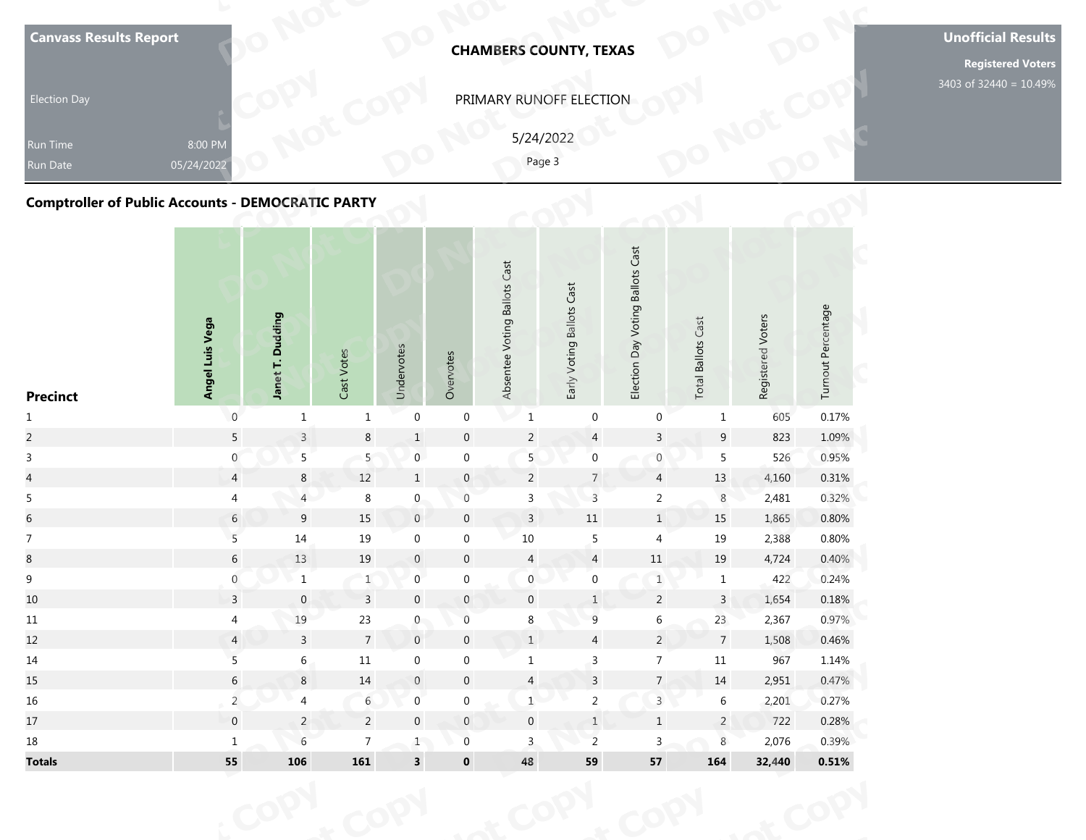| <b>Canvass Results Report</b><br><b>Election Day</b>                                    |                       |                  |            |            |           |                              | <b>CHAMBERS COUNTY, TEXAS</b><br>PRIMARY RUNOFF ELECTION |                                                        |                              |                   |                    | <b>Unofficial Results</b><br><b>Registered Voters</b><br>3403 of 32440 = 10.49% |
|-----------------------------------------------------------------------------------------|-----------------------|------------------|------------|------------|-----------|------------------------------|----------------------------------------------------------|--------------------------------------------------------|------------------------------|-------------------|--------------------|---------------------------------------------------------------------------------|
| Run Time<br><b>Run Date</b><br><b>Comptroller of Public Accounts - DEMOCRATIC PARTY</b> | 8:00 PM<br>05/24/2022 |                  |            |            |           |                              | 5/24/2022<br>Page 3                                      |                                                        |                              |                   |                    |                                                                                 |
| <b>Precinct</b>                                                                         | Angel Luis Vega       | Janet T. Dudding | Cast Votes | Undervotes | Overvotes | Absentee Voting Ballots Cast | Early Voting Ballots Cast                                | <b>Voting Ballots Cast</b><br>$\mathsf{p}$<br>Election | Cast<br><b>Total Ballots</b> | Registered Voters | Turnout Percentage |                                                                                 |

| <b>Canvass Results Report</b>                            |                       |                  |                |                         |                  |                              | <b>CHAMBERS COUNTY, TEXAS</b> |                                  |                           |                   |                    | <b>Unoffic</b><br>Regi |
|----------------------------------------------------------|-----------------------|------------------|----------------|-------------------------|------------------|------------------------------|-------------------------------|----------------------------------|---------------------------|-------------------|--------------------|------------------------|
| <b>Election Day</b>                                      |                       |                  |                |                         |                  |                              | PRIMARY RUNOFF ELECTION       |                                  |                           |                   |                    | 3403 of 32             |
| Run Time<br><b>Run Date</b>                              | 8:00 PM<br>05/24/2022 |                  |                |                         |                  |                              | 5/24/2022<br>Page 3           |                                  |                           |                   |                    |                        |
| <b>Comptroller of Public Accounts - DEMOCRATIC PARTY</b> |                       |                  |                |                         |                  |                              |                               |                                  |                           |                   |                    |                        |
| <b>Precinct</b>                                          | Angel Luis Vega       | Janet T. Dudding | Cast Votes     | Undervotes              | Overvotes        | Absentee Voting Ballots Cast | Early Voting Ballots Cast     | Election Day Voting Ballots Cast | <b>Total Ballots Cast</b> | Registered Voters | Turnout Percentage |                        |
| $\mathbf{1}$                                             | $\mathsf{O}\xspace$   | $\mathbf{1}$     | $\mathbf{1}$   | $\boldsymbol{0}$        | $\boldsymbol{0}$ | $\mathbf 1$                  | $\boldsymbol{0}$              | $\pmb{0}$                        | $\mathbf{1}$              | 605               | 0.17%              |                        |
| $\overline{2}$                                           | $\overline{5}$        | $\overline{3}$   | $\,8\,$        | $\,1\,$                 | $\mathbf 0$      | $\overline{2}$               | $\overline{4}$                | $\overline{3}$                   | $\boldsymbol{9}$          | 823               | 1.09%              |                        |
| $\mathsf{3}$                                             | $\boldsymbol{0}$      | 5                | 5              | $\boldsymbol{0}$        | $\boldsymbol{0}$ | 5                            | $\boldsymbol{0}$              | $\boldsymbol{0}$                 | $\overline{5}$            | 526               | 0.95%              |                        |
| $\overline{a}$                                           | $\overline{4}$        | $\,8\,$          | $12\,$         | $\mathbf{1}$            | $\pmb{0}$        | $\overline{2}$               | $\sqrt{7}$                    | $\overline{4}$                   | $13\,$                    | 4,160             | 0.31%              |                        |
| 5                                                        | $\overline{4}$        | $\overline{4}$   | $\,8\,$        | $\mathbf 0$             | $\boldsymbol{0}$ | $\mathsf 3$                  | $\mathsf{3}$                  | $\overline{2}$                   | $\,8\,$                   | 2,481             | 0.32%              |                        |
| $\sqrt{6}$                                               | $\sqrt{6}$            | 9                | 15             | $\,0\,$                 | $\mathbf 0$      | $\overline{3}$               | $11\,$                        | $1\,$                            | 15                        | 1,865             | 0.80%              |                        |
| $\boldsymbol{7}$                                         | $\overline{5}$        | $14\,$           | $19\,$         | $\boldsymbol{0}$        | $\boldsymbol{0}$ | 10                           | $\sqrt{5}$                    | $\overline{4}$                   | 19                        | 2,388             | 0.80%              |                        |
| $8\,$                                                    | $\sqrt{6}$            | 13               | 19             | $\boldsymbol{0}$        | $\pmb{0}$        | $\overline{4}$               | $\overline{4}$                | $11\,$                           | 19                        | 4,724             | 0.40%              |                        |
| $\boldsymbol{9}$                                         | $\boldsymbol{0}$      | $\,1\,$          | $\mathbf{1}$   | $\pmb{0}$               | $\boldsymbol{0}$ | $\mathbf 0$                  | $\boldsymbol{0}$              | $\,1$                            | $\,1$                     | 422               | 0.24%              |                        |
| 10                                                       | 3                     | $\mathbf{0}$     | $\overline{3}$ | $\mathbf 0$             | $\mathbf{0}$     | $\mathbf 0$                  | $\mathbf{1}$                  | $\overline{2}$                   | $\mathbf{3}$              | 1,654             | 0.18%              |                        |
| $11\,$                                                   | $\overline{4}$        | 19               | $23\,$         | $\overline{0}$          | $\,0\,$          | 8                            | $\overline{9}$                | 6                                | 23                        | 2,367             | 0.97%              |                        |
| 12                                                       | $\overline{4}$        | $\mathbf{3}$     | $\overline{7}$ | $\,0\,$                 | $\pmb{0}$        | $\,$ 1 $\,$                  | $\overline{4}$                | $\overline{2}$                   | $\overline{7}$            | 1,508             | 0.46%              |                        |
| 14                                                       | $\overline{5}$        | $6\,$            | $11\,$         | $\boldsymbol{0}$        | $\boldsymbol{0}$ | $\mathbf{1}$                 | $\mathsf{3}$                  | $\overline{7}$                   | $11\,$                    | 967               | 1.14%              |                        |
| 15                                                       | $\sqrt{6}$            | $\,8\,$          | $14\,$         | $\boldsymbol{0}$        | $\pmb{0}$        | $\overline{a}$               | $\overline{\mathbf{3}}$       | $\overline{7}$                   | $14\,$                    | 2,951             | 0.47%              |                        |
| 16                                                       | $\overline{a}$        | $\overline{4}$   | $\sqrt{6}$     | $\mathbf 0$             | $\boldsymbol{0}$ | $1\,$                        | $\overline{a}$                | $\overline{3}$                   | $\,$ 6 $\,$               | 2,201             | 0.27%              |                        |
| $17\,$                                                   | $\mathbf 0$           | $\overline{2}$   | $\overline{2}$ | $\mathbf 0$             | $\mathsf{O}$     | $\mathbf 0$                  | $1\,$                         | $\,$ 1 $\,$                      | $\overline{2}$            | 722               | 0.28%              |                        |
| 18                                                       | $\mathbf 1$           | $6\phantom{a}$   | $\overline{7}$ | $1$ $\,$                | $\boldsymbol{0}$ | $\mathbf{3}$                 | $\overline{2}$                | $\overline{3}$                   | $\,8\,$                   | 2,076             | 0.39%              |                        |
| <b>Totals</b>                                            | 55                    | 106              | ${\bf 161}$    | $\overline{\mathbf{3}}$ | $\mathbf 0$      | 48                           | 59                            | ${\bf 57}$                       | 164                       | 32,440            | $0.51\%$           |                        |
|                                                          |                       |                  |                |                         |                  |                              |                               |                                  |                           |                   |                    |                        |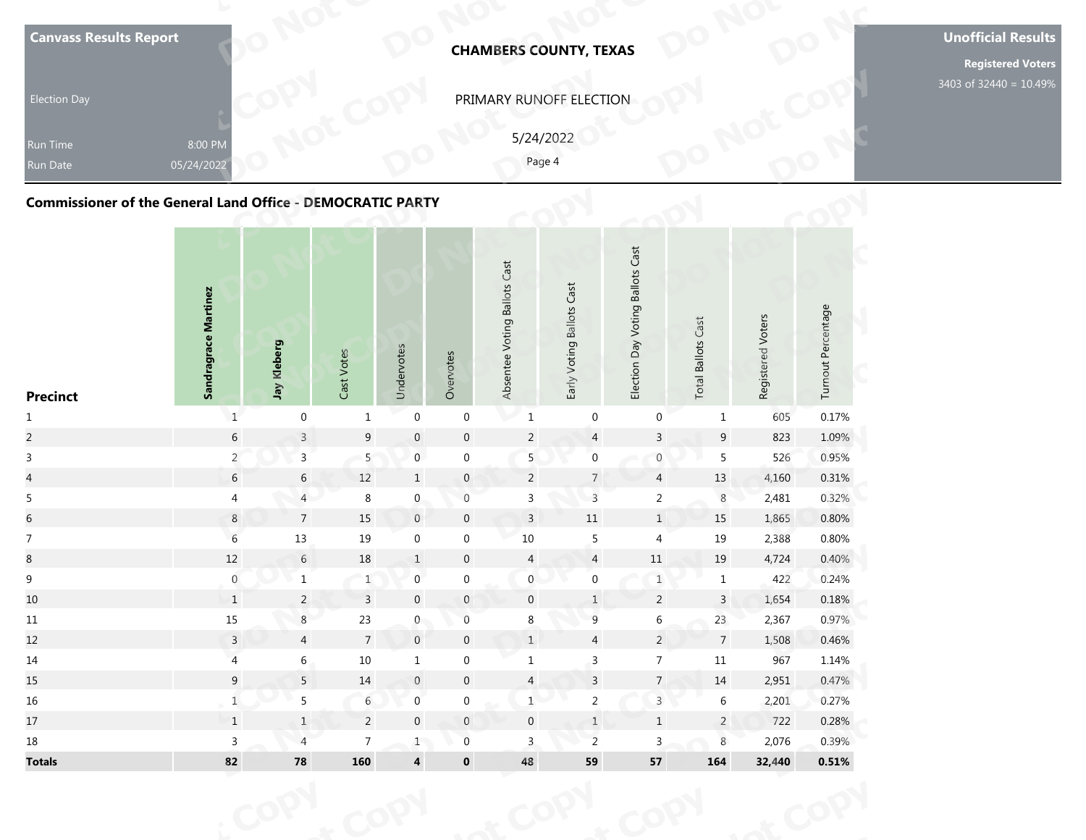| <b>Canvass Results Report</b><br><b>Election Day</b><br><b>Run Time</b><br><b>Run Date</b> | 8:00 PM<br>05/24/2022 |  |  |                              | <b>CHAMBERS COUNTY, TEXAS</b><br>PRIMARY RUNOFF ELECTION<br>5/24/2022<br>Page 4 |                            |  |                    | <b>Unofficial Results</b><br><b>Registered Voters</b><br>3403 of 32440 = 10.49% |
|--------------------------------------------------------------------------------------------|-----------------------|--|--|------------------------------|---------------------------------------------------------------------------------|----------------------------|--|--------------------|---------------------------------------------------------------------------------|
| <b>Commissioner of the General Land Office - DEMOCRATIC PARTY</b>                          |                       |  |  | Absentee Voting Ballots Cast |                                                                                 | <b>Voting Ballots Cast</b> |  |                    |                                                                                 |
|                                                                                            | Sandragrace Martinez  |  |  |                              | Early Voting Ballots Cast                                                       |                            |  | Turnout Percentage |                                                                                 |

| <b>Canvass Results Report</b>                                     |                       |                  |                 |                     |                  |                              | <b>CHAMBERS COUNTY, TEXAS</b> |                                  |                           |                   |                    | <b>Unoffic</b><br>Regi |
|-------------------------------------------------------------------|-----------------------|------------------|-----------------|---------------------|------------------|------------------------------|-------------------------------|----------------------------------|---------------------------|-------------------|--------------------|------------------------|
| <b>Election Day</b>                                               |                       |                  |                 |                     |                  |                              | PRIMARY RUNOFF ELECTION       |                                  |                           |                   |                    | 3403 of 32             |
| Run Time<br>Run Date                                              | 8:00 PM<br>05/24/2022 |                  |                 |                     |                  |                              | 5/24/2022<br>Page 4           |                                  |                           |                   |                    |                        |
| <b>Commissioner of the General Land Office - DEMOCRATIC PARTY</b> |                       |                  |                 |                     |                  |                              |                               |                                  |                           |                   |                    |                        |
| <b>Precinct</b>                                                   | Sandragrace Martinez  | Jay Kleberg      | Cast Votes      | Undervotes          | Overvotes        | Absentee Voting Ballots Cast | Early Voting Ballots Cast     | Election Day Voting Ballots Cast | <b>Total Ballots Cast</b> | Registered Voters | Turnout Percentage |                        |
| $\mathbf{1}$                                                      | $\mathbf 1$           | $\boldsymbol{0}$ | $\mathbf{1}$    | $\boldsymbol{0}$    | $\boldsymbol{0}$ | $\mathbf 1$                  | $\pmb{0}$                     | $\pmb{0}$                        | $\mathbf{1}$              | 605               | 0.17%              |                        |
| $\overline{c}$                                                    | $\sqrt{6}$            | $\overline{3}$   | 9               | $\boldsymbol{0}$    | $\boldsymbol{0}$ | $\sqrt{2}$                   | $\overline{4}$                | $\overline{3}$                   | 9                         | 823               | 1.09%              |                        |
| $\mathsf{3}$                                                      | $\overline{2}$        | $\mathsf{3}$     | 5 <sub>5</sub>  | $\boldsymbol{0}$    | $\boldsymbol{0}$ | $\overline{5}$               | $\pmb{0}$                     | $\boldsymbol{0}$                 | 5                         | 526               | 0.95%              |                        |
| $\overline{\mathbf{4}}$                                           | $\sqrt{6}$            | $6\phantom{.0}$  | $12\,$          | $\mathbf{1}$        | $\pmb{0}$        | $\overline{2}$               | $\overline{7}$                | $\overline{4}$                   | $13\,$                    | 4,160             | 0.31%              |                        |
| 5                                                                 | $\overline{a}$        | 4                | $\,8\,$         | $\boldsymbol{0}$    | $\boldsymbol{0}$ | $\mathsf 3$                  | $\mathsf 3$                   | $\overline{c}$                   | $\,8\,$                   | 2,481             | 0.32%              |                        |
| $\sqrt{6}$                                                        | $\bf 8$               | $7\overline{ }$  | 15              | $\mathsf{O}\xspace$ | $\boldsymbol{0}$ | $\overline{3}$               | $11\,$                        | $\mathbf 1$                      | $15\,$                    | 1,865             | 0.80%              |                        |
| $\boldsymbol{7}$                                                  | $\sqrt{6}$            | $13\,$           | $19\,$          | $\boldsymbol{0}$    | $\boldsymbol{0}$ | $10\,$                       | $\sqrt{5}$                    | $\overline{\mathbf{4}}$          | $19\,$                    | 2,388             | 0.80%              |                        |
| $\bf 8$                                                           | $12\,$                | 6                | $18\,$          | $\mathbf{1}$        | $\boldsymbol{0}$ | $\overline{4}$               | $\overline{a}$                | $11\,$                           | $19\,$                    | 4,724             | 0.40%              |                        |
| $\mathsf 9$                                                       | $\boldsymbol{0}$      | $\,1\,$          | $\mathbf{1}$    | $\boldsymbol{0}$    | $\boldsymbol{0}$ | $\boldsymbol{0}$             | $\boldsymbol{0}$              | $\ensuremath{\mathbbm{1}}$       | $\mathbf{1}$              | 422               | 0.24%              |                        |
| 10                                                                | $\mathbf{1}$          | 2                | $\overline{3}$  | $\mathbf 0$         | $\mathbf{0}$     | $\mathbf 0$                  | 1                             | $\overline{2}$                   | $\mathbf{3}$              | 1,654             | 0.18%              |                        |
| 11                                                                | $15\,$                | 8 <sup>1</sup>   | 23              | $\mathbf{0}$        | $\,0\,$          | $8\phantom{.}$               | $\overline{9}$                | 6                                | 23                        | 2,367             | 0.97%              |                        |
| 12                                                                | $\overline{3}$        | $\overline{4}$   | $7\overline{ }$ | $\boldsymbol{0}$    | $\boldsymbol{0}$ | $\,1\,$                      | $\overline{4}$                | $\overline{a}$                   | $\overline{7}$            | 1,508             | 0.46%              |                        |
| 14                                                                | $\overline{4}$        | 6                | $10\,$          | $\mathbf{1}$        | $\boldsymbol{0}$ | $\mathbf{1}$                 | $\mathsf{3}$                  | 7 <sup>7</sup>                   | 11                        | 967               | 1.14%              |                        |
| 15                                                                | $\mathsf 9$           | 5                | $14\,$          | $\boldsymbol{0}$    | $\boldsymbol{0}$ | $\overline{a}$               | $\overline{3}$                | $\overline{7}$                   | $14\,$                    | 2,951             | 0.47%              |                        |
| 16                                                                | $\mathbf 1$           | 5                | 6               | $\boldsymbol{0}$    | $\boldsymbol{0}$ | $\mathbf 1$                  | $\overline{2}$                | $\overline{3}$                   | $\sqrt{6}$                | 2,201             | 0.27%              |                        |
| 17                                                                | $\,1$                 | $1\,$            | $\overline{2}$  | $\boldsymbol{0}$    | $\mathbb O$      | $\boldsymbol{0}$             | $\ensuremath{\mathsf{1}}$     | $\mathbf 1$                      | $\overline{2}$            | 722               | 0.28%              |                        |
| 18                                                                | $\overline{3}$        | $\overline{4}$   | $\overline{7}$  | 1                   | $\boldsymbol{0}$ | $\overline{3}$               | $\overline{2}$                | $\overline{3}$                   | $\,8\,$                   | 2,076             | 0.39%              |                        |
| <b>Totals</b>                                                     | 82                    | ${\bf 78}$       | 160             | 4                   | $\mathbf 0$      | 48                           | 59                            | ${\bf 57}$                       | 164                       | 32,440            | 0.51%              |                        |
|                                                                   |                       |                  |                 |                     |                  |                              |                               |                                  |                           |                   |                    |                        |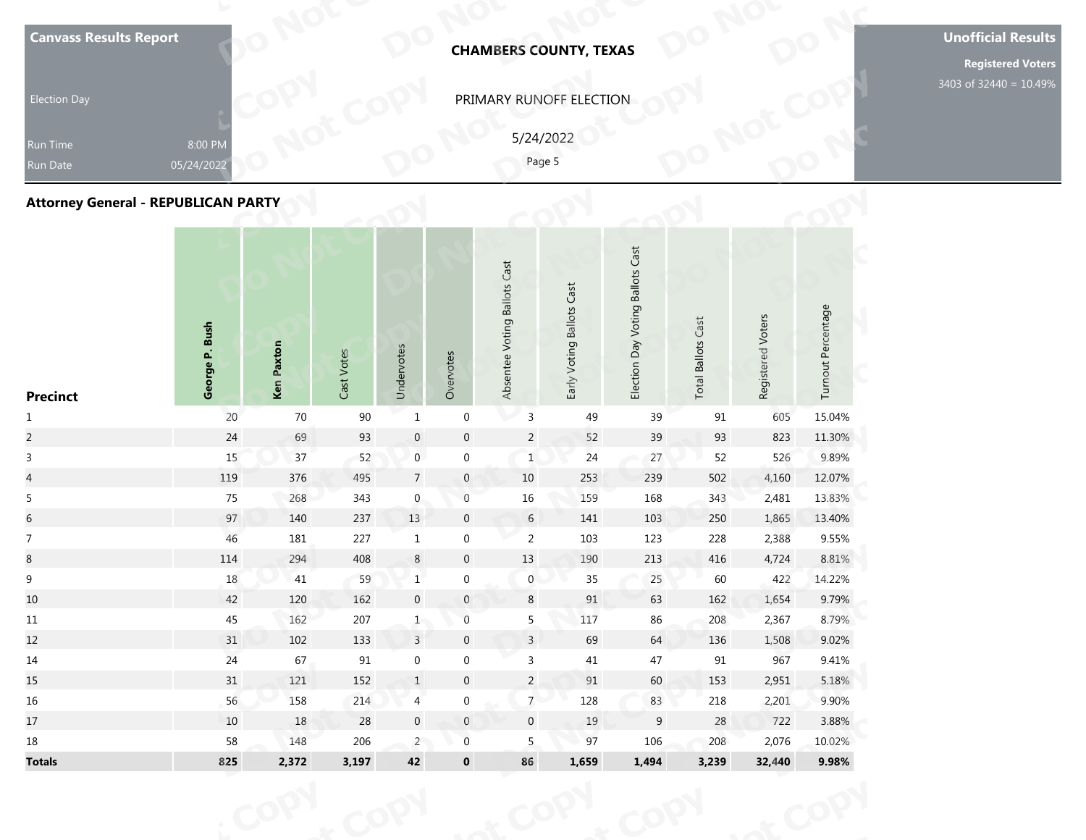|                                  | <b>Election Day</b><br>Run Time<br>Run Date<br><b>Attorney General - REPUBLICAN PARTY</b> | <b>Canvass Results Report</b>                         |
|----------------------------------|-------------------------------------------------------------------------------------------|-------------------------------------------------------|
| George P. Bush                   | 8:00 PM<br>05/24/2022                                                                     |                                                       |
| Ken Paxton                       |                                                                                           |                                                       |
| Cast Votes                       |                                                                                           |                                                       |
| Undervotes                       |                                                                                           |                                                       |
| Overvotes                        |                                                                                           |                                                       |
| Absentee Voting Ballots Cast     |                                                                                           |                                                       |
| Early Voting Ballots Cast        | PRIMARY RUNOFF ELECTION<br>5/24/2022<br>Page 5                                            | <b>CHAMBERS COUNTY, TEXAS</b>                         |
| Election Day Voting Ballots Cast |                                                                                           |                                                       |
| <b>Total Ballots Cast</b>        |                                                                                           |                                                       |
| Registered Voters                |                                                                                           |                                                       |
| Turnout Percentage               |                                                                                           |                                                       |
|                                  | 3403 of 32440 = 10.49%                                                                    | <b>Unofficial Results</b><br><b>Registered Voters</b> |

| <b>Canvass Results Report</b>              |                       |            |            |                           |                  | <b>CHAMBERS COUNTY, TEXAS</b> |                           |                                  |                           |                   |                    | <b>Unoffic</b> |
|--------------------------------------------|-----------------------|------------|------------|---------------------------|------------------|-------------------------------|---------------------------|----------------------------------|---------------------------|-------------------|--------------------|----------------|
| <b>Election Day</b>                        |                       |            |            |                           |                  | PRIMARY RUNOFF ELECTION       |                           |                                  |                           |                   |                    | 3403 of 32     |
| Run Time<br><b>Run Date</b>                | 8:00 PM<br>05/24/2022 |            |            |                           |                  | 5/24/2022<br>Page 5           |                           |                                  |                           |                   |                    |                |
| <b>Attorney General - REPUBLICAN PARTY</b> |                       |            |            |                           |                  |                               |                           |                                  |                           |                   |                    |                |
| <b>Precinct</b>                            | George P. Bush        | Ken Paxton | Cast Votes | Undervotes                | Overvotes        | Absentee Voting Ballots Cast  | Early Voting Ballots Cast | Election Day Voting Ballots Cast | <b>Total Ballots Cast</b> | Registered Voters | Turnout Percentage |                |
| $\mathbf{1}$                               | 20                    | $70\,$     | 90         | $\mathbf 1$               | $\boldsymbol{0}$ | $\mathsf 3$                   | 49                        | 39                               | $91\,$                    | 605               | 15.04%             |                |
| $\overline{c}$                             | $24$                  | 69         | 93         | $\mathbf 0$               | $\mathbf 0$      | $\overline{2}$                | 52                        | 39                               | 93                        | 823               | 11.30%             |                |
| $\mathsf{3}$                               | 15                    | 37         | 52         | $\boldsymbol{0}$          | $\boldsymbol{0}$ | $\mathbf{1}$                  | 24                        | 27                               | 52                        | 526               | 9.89%              |                |
| $\overline{4}$                             | 119                   | 376        | 495        | $\overline{7}$            | $\boldsymbol{0}$ | $10\,$                        | 253                       | 239                              | 502                       | 4,160             | 12.07%             |                |
| 5                                          | 75                    | 268        | 343        | $\boldsymbol{0}$          | $\boldsymbol{0}$ | $16\,$                        | 159                       | 168                              | 343                       | 2,481             | 13.83%             |                |
| $\overline{6}$                             | 97                    | 140        | 237        | $13\,$                    | $\mathbf 0$      | $6\phantom{.}6$               | 141                       | 103                              | 250                       | 1,865             | 13.40%             |                |
| $\overline{7}$                             | 46                    | 181        | 227        | $\mathbf{1}$              | $\boldsymbol{0}$ | $\overline{2}$                | 103                       | 123                              | 228                       | 2,388             | 9.55%              |                |
| $\bf 8$                                    | $114\,$               | 294        | 408        | $\,8\,$                   | $\boldsymbol{0}$ | $13\,$                        | 190                       | $213\,$                          | 416                       | 4,724             | 8.81%              |                |
| $\boldsymbol{9}$                           | $18\,$                | 41         | 59         | $\ensuremath{\mathbf{1}}$ | $\boldsymbol{0}$ | $\boldsymbol{0}$              | 35                        | 25                               | 60                        | 422               | 14.22%             |                |
| 10                                         | 42                    | 120        | 162        | $\mathbf 0$               | $\mathbf{0}$     | 8                             | 91                        | 63                               | 162                       | 1,654             | 9.79%              |                |
| 11                                         | 45                    | 162        | 207        | $\mathbf{1}$              | $\,0\,$          | 5                             | 117                       | 86                               | 208                       | 2,367             | 8.79%              |                |
| 12                                         | 31                    | 102        | 133        | $\overline{3}$            | $\boldsymbol{0}$ | $\overline{3}$                | 69                        | 64                               | 136                       | 1,508             | 9.02%              |                |
| 14                                         | 24                    | 67         | 91         | $\boldsymbol{0}$          | $\boldsymbol{0}$ | $\mathbf{3}$                  | 41                        | 47                               | 91                        | 967               | 9.41%              |                |
| 15                                         | 31                    | 121        | 152        | $\mathbf{1}$              | $\boldsymbol{0}$ | $\overline{2}$                | $91\,$                    | 60                               | 153                       | 2,951             | 5.18%              |                |
| 16                                         | 56                    | 158        | 214        | $\overline{4}$            | $\boldsymbol{0}$ | $\overline{7}$                | 128                       | 83                               | 218                       | 2,201             | 9.90%              |                |
| 17                                         | 10                    | 18         | 28         | $\boldsymbol{0}$          | $\mathbb O$      | $\boldsymbol{0}$              | $19\,$                    | $\,9$                            | $28\,$                    | 722               | 3.88%              |                |
| 18                                         | 58                    | 148        | 206        | $\overline{2}$            | $\boldsymbol{0}$ | 5                             | 97                        | 106                              | 208                       | 2,076             | 10.02%             |                |
| <b>Totals</b>                              | 825                   | 2,372      | 3,197      | $\bf 42$                  | $\pmb{0}$        | 86                            | 1,659                     | 1,494                            | 3,239                     | 32,440            | 9.98%              |                |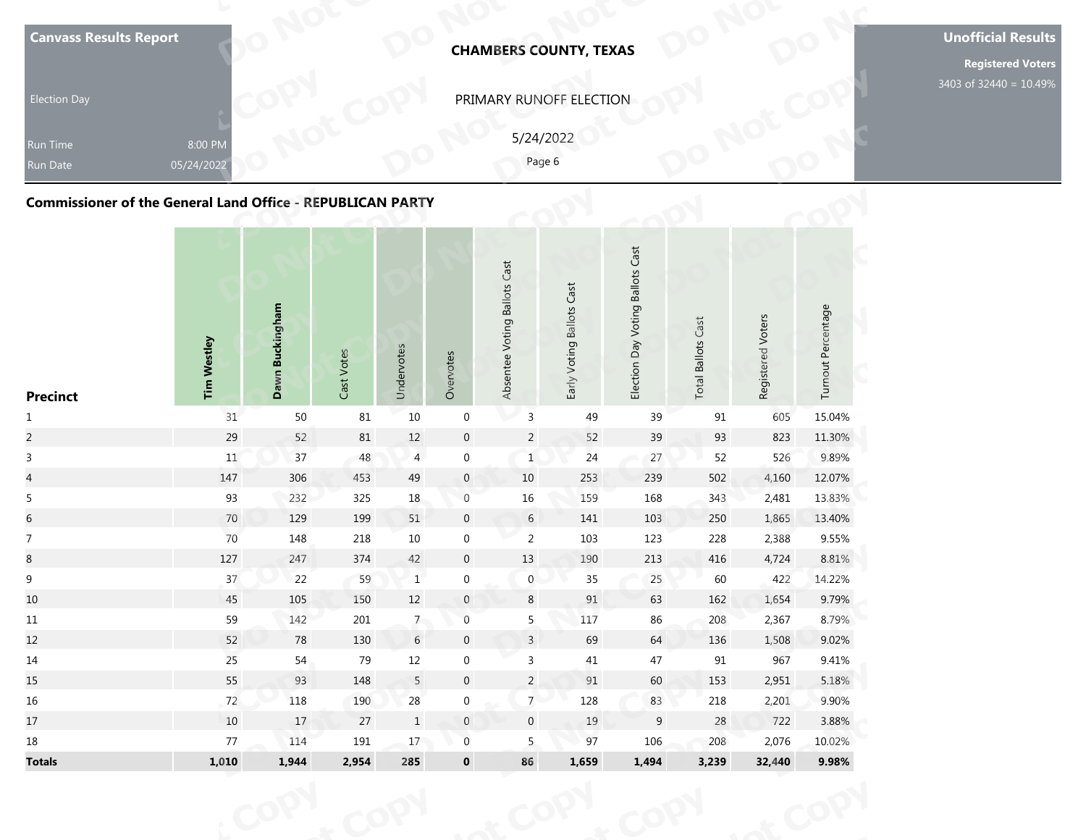| <b>Election Day</b><br><b>Run Time</b><br><b>Run Date</b><br><b>Commissioner of the General Land Office - REPUBLICAN PARTY</b> | 8:00 PM<br>05/24/2022 |                 |            |            |           |                              | PRIMARY RUNOFF ELECTION<br>5/24/2022<br>Page 6 |                                                           |                              |                   |                    | 3403 of 32440 = 10.49% |
|--------------------------------------------------------------------------------------------------------------------------------|-----------------------|-----------------|------------|------------|-----------|------------------------------|------------------------------------------------|-----------------------------------------------------------|------------------------------|-------------------|--------------------|------------------------|
| <b>Precinct</b>                                                                                                                | <b>Tim Westley</b>    | Dawn Buckingham | Cast Votes | Undervotes | Overvotes | Absentee Voting Ballots Cast | Early Voting Ballots Cast                      | <b>Voting Ballots Cast</b><br>$\mathsf{p}$ ay<br>Election | Cast<br><b>Total Ballots</b> | Registered Voters | Turnout Percentage |                        |

| <b>Canvass Results Report</b>                                     |                       |                 |            |                |                  |                              | <b>CHAMBERS COUNTY, TEXAS</b> |                                  |                           |                   |                    | <b>Unoffic</b> |
|-------------------------------------------------------------------|-----------------------|-----------------|------------|----------------|------------------|------------------------------|-------------------------------|----------------------------------|---------------------------|-------------------|--------------------|----------------|
| <b>Election Day</b>                                               |                       |                 |            |                |                  |                              | PRIMARY RUNOFF ELECTION       |                                  |                           |                   |                    | 3403 of 32     |
| Run Time<br>Run Date                                              | 8:00 PM<br>05/24/2022 |                 |            |                |                  | 5/24/2022<br>Page 6          |                               |                                  |                           |                   |                    |                |
| <b>Commissioner of the General Land Office - REPUBLICAN PARTY</b> |                       |                 |            |                |                  |                              |                               |                                  |                           |                   |                    |                |
| <b>Precinct</b>                                                   | <b>Tim Westley</b>    | Dawn Buckingham | Cast Votes | Undervotes     | Overvotes        | Absentee Voting Ballots Cast | Early Voting Ballots Cast     | Election Day Voting Ballots Cast | <b>Total Ballots Cast</b> | Registered Voters | Turnout Percentage |                |
| $\mathbf{1}$                                                      | 31                    | $50\,$          | $81\,$     | $10\,$         | $\boldsymbol{0}$ | $\mathsf 3$                  | 49                            | 39                               | 91                        | 605               | 15.04%             |                |
| $\overline{c}$                                                    | 29                    | 52              | $81\,$     | $12\,$         | $\boldsymbol{0}$ | $\overline{2}$               | 52                            | 39                               | 93                        | 823               | 11.30%             |                |
| $\mathsf{3}$                                                      | 11                    | 37              | 48         | $\overline{4}$ | $\boldsymbol{0}$ | $\mathbf{1}$                 | 24                            | 27                               | 52                        | 526               | 9.89%              |                |
| $\overline{4}$                                                    | 147                   | 306             | 453        | 49             | $\boldsymbol{0}$ | 10                           | 253                           | 239                              | 502                       | 4,160             | 12.07%             |                |
| 5                                                                 | 93                    | 232             | 325        | $18\,$         | $\boldsymbol{0}$ | $16\,$                       | 159                           | 168                              | 343                       | 2,481             | 13.83%             |                |
| $\sqrt{6}$                                                        | 70                    | 129             | 199        | 51             | $\boldsymbol{0}$ | $6\,$                        | 141                           | 103                              | 250                       | 1,865             | 13.40%             |                |
| $\overline{7}$                                                    | 70                    | 148             | 218        | $10\,$         | $\boldsymbol{0}$ | $\overline{2}$               | 103                           | 123                              | 228                       | 2,388             | 9.55%              |                |
| $\bf 8$                                                           | $127\,$               | 247             | 374        | 42             | $\boldsymbol{0}$ | $13\,$                       | 190                           | $213\,$                          | 416                       | 4,724             | 8.81%              |                |
| $\boldsymbol{9}$                                                  | $37\,$                | 22              | 59         | $\,1$          | $\boldsymbol{0}$ | $\pmb{0}$                    | 35                            | 25                               | 60                        | 422               | 14.22%             |                |
| 10                                                                | 45                    | 105             | 150        | 12             | $\mathbf{0}$     | 8                            | 91                            | 63                               | 162                       | 1,654             | 9.79%              |                |
| 11                                                                | 59                    | 142             | 201        | 7 <sup>2</sup> | $\,0\,$          | 5                            | 117                           | 86                               | 208                       | 2,367             | 8.79%              |                |
| 12                                                                | 52                    | 78              | 130        | $\sqrt{6}$     | $\boldsymbol{0}$ | $\overline{3}$               | 69                            | 64                               | 136                       | 1,508             | 9.02%              |                |
| 14                                                                | 25                    | 54              | 79         | $12\,$         | $\boldsymbol{0}$ | $\mathbf{3}$                 | 41                            | 47                               | 91                        | 967               | 9.41%              |                |
| 15                                                                | 55                    | 93              | 148        | $\overline{5}$ | $\boldsymbol{0}$ | $\overline{2}$               | $91\,$                        | 60                               | 153                       | 2,951             | 5.18%              |                |
| 16                                                                | 72                    | 118             | 190        | $28\,$         | $\boldsymbol{0}$ | $\overline{7}$               | 128                           | 83                               | 218                       | 2,201             | 9.90%              |                |
| 17                                                                | 10                    | 17              | 27         | $1\,$          | $\mathbb O$      | $\boldsymbol{0}$             | $19\,$                        | 9                                | 28                        | 722               | 3.88%              |                |
| 18                                                                | 77                    | 114             | 191        | 17             | $\boldsymbol{0}$ | 5                            | 97                            | 106                              | 208                       | 2,076             | 10.02%             |                |
| <b>Totals</b>                                                     | 1,010                 | 1,944           | 2,954      | 285            | $\pmb{0}$        | 86                           | 1,659                         | 1,494                            | 3,239                     | 32,440            | 9.98%              |                |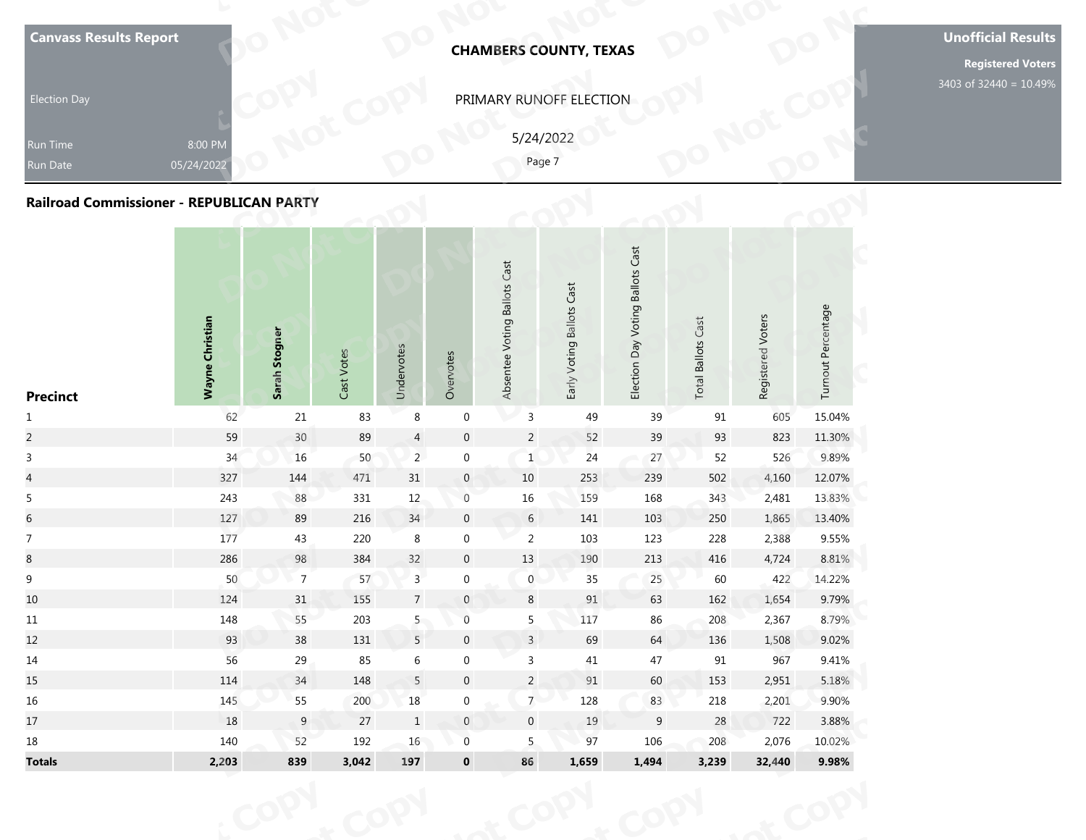| <b>Election Day</b><br>Run Time<br><b>Run Date</b><br>Railroad Commissioner - REPUBLICAN PARTY | 8:00 PM<br>05/24/2022  |               |            |            |           |                              | PRIMARY RUNOFF ELECTION<br>5/24/2022<br>Page 7 |                                               |                              |                   |                    | 3403 of 32440 = 10.49% |
|------------------------------------------------------------------------------------------------|------------------------|---------------|------------|------------|-----------|------------------------------|------------------------------------------------|-----------------------------------------------|------------------------------|-------------------|--------------------|------------------------|
| <b>Precinct</b>                                                                                | <b>Wayne Christian</b> | Sarah Stogner | Cast Votes | Undervotes | Overvotes | Absentee Voting Ballots Cast | Early Voting Ballots Cast                      | <b>Voting Ballots Cast</b><br>VeQ<br>Election | Cast<br><b>Total Ballots</b> | Registered Voters | Turnout Percentage |                        |

| <b>Canvass Results Report</b>                   |                       |                |            |                |                  |                              | <b>CHAMBERS COUNTY, TEXAS</b> |                                  |                           |                   |                    |            |
|-------------------------------------------------|-----------------------|----------------|------------|----------------|------------------|------------------------------|-------------------------------|----------------------------------|---------------------------|-------------------|--------------------|------------|
|                                                 |                       |                |            |                |                  |                              |                               |                                  |                           |                   |                    |            |
| <b>Election Day</b>                             |                       |                |            |                |                  |                              | PRIMARY RUNOFF ELECTION       |                                  |                           |                   |                    | 3403 of 32 |
|                                                 |                       |                |            |                |                  | 5/24/2022                    |                               |                                  |                           |                   |                    |            |
| Run Time<br><b>Run Date</b>                     | 8:00 PM<br>05/24/2022 |                |            |                |                  | Page 7                       |                               |                                  |                           |                   |                    |            |
|                                                 |                       |                |            |                |                  |                              |                               |                                  |                           |                   |                    |            |
| <b>Railroad Commissioner - REPUBLICAN PARTY</b> |                       |                |            |                |                  |                              |                               |                                  |                           |                   |                    |            |
|                                                 |                       |                |            |                |                  |                              |                               |                                  |                           |                   |                    |            |
| <b>Precinct</b>                                 | Wayne Christian       | Sarah Stogner  | Cast Votes | Undervotes     | Overvotes        | Absentee Voting Ballots Cast | Early Voting Ballots Cast     | Election Day Voting Ballots Cast | <b>Total Ballots Cast</b> | Registered Voters | Turnout Percentage |            |
| $\mathbf{1}$                                    | 62                    | $21\,$         | 83         | $\,8\,$        | $\boldsymbol{0}$ | $\mathsf 3$                  | 49                            | 39                               | 91                        | 605               | 15.04%             |            |
| $\overline{c}$                                  | 59                    | $30\,$         | 89         | $\overline{4}$ | $\boldsymbol{0}$ | $\overline{c}$               | 52                            | 39                               | 93                        | 823               | 11.30%             |            |
| $\mathsf{3}$                                    | 34                    | 16             | 50         | 2 <sup>2</sup> | $\boldsymbol{0}$ | $\mathbf{1}$                 | 24                            | 27                               | 52                        | 526               | 9.89%              |            |
| $\overline{4}$                                  | 327                   | 144            | 471        | 31             | $\mathbf 0$      | 10                           | 253                           | 239                              | 502                       | 4,160             | 12.07%             |            |
| 5                                               | 243                   | $88\,$         | 331        | $12\,$         | $\mathsf{O}$     | $16\,$                       | 159                           | 168                              | 343                       | 2,481             | 13.83%             |            |
| $\sqrt{6}$                                      | 127                   | 89             | 216        | $34\,$         | $\boldsymbol{0}$ | $6\phantom{.}6$              | 141                           | 103                              | 250                       | 1,865             | 13.40%             |            |
| $\overline{7}$                                  | 177                   | 43             | 220        | $\,8\,$        | $\boldsymbol{0}$ | $\overline{2}$               | 103                           | 123                              | 228                       | 2,388             | 9.55%              |            |
| $\bf 8$                                         | 286                   | 98             | 384        | 32             | $\boldsymbol{0}$ | $13\,$                       | 190                           | $213\,$                          | 416                       | 4,724             | 8.81%              |            |
| $\boldsymbol{9}$                                | 50                    | $\overline{7}$ | 57         | $\overline{3}$ | $\boldsymbol{0}$ | $\boldsymbol{0}$             | 35                            | 25                               | 60                        | 422               | 14.22%             |            |
| 10                                              | 124                   | 31             | 155        | $\overline{7}$ | $\mathbf{0}$     | 8                            | 91                            | 63                               | 162                       | 1,654             | 9.79%              |            |
| 11                                              | 148                   | 55             | 203        | 5 <sub>1</sub> | $\,0\,$          | 5                            | 117                           | 86                               | 208                       | 2,367             | 8.79%              |            |
| 12                                              | 93                    | $38\,$         | 131        | 5              | $\boldsymbol{0}$ | $\overline{3}$               | 69                            | 64                               | 136                       | 1,508             | 9.02%              |            |
| 14                                              | 56                    | 29             | 85         | $\,$ 6 $\,$    | $\boldsymbol{0}$ | $\mathbf{3}$                 | 41                            | 47                               | 91                        | 967               | 9.41%              |            |
| 15                                              | 114                   | 34             | 148        | $\overline{5}$ | $\boldsymbol{0}$ | $\overline{2}$               | $91\,$                        | 60                               | 153                       | 2,951             | 5.18%              |            |
| $16\,$                                          | 145                   | 55             | 200        | $18\,$         | $\boldsymbol{0}$ | $\overline{7}$               | 128                           | 83                               | 218                       | 2,201             | 9.90%              |            |
| 17                                              | 18                    | $9\,$          | 27         | $\mathbf{1}$   | $\mathbb O$      | $\boldsymbol{0}$             | $19\,$                        | 9                                | $28\,$                    | 722               | 3.88%              |            |
| $18\,$                                          | 140                   | 52             | 192        | 16             | $\boldsymbol{0}$ | 5                            | 97                            | 106                              | 208                       | 2,076             | 10.02%             |            |
| <b>Totals</b>                                   | 2,203                 | 839            | 3,042      | 197            | $\pmb{0}$        | 86                           | 1,659                         | 1,494                            | 3,239                     | 32,440            | 9.98%              |            |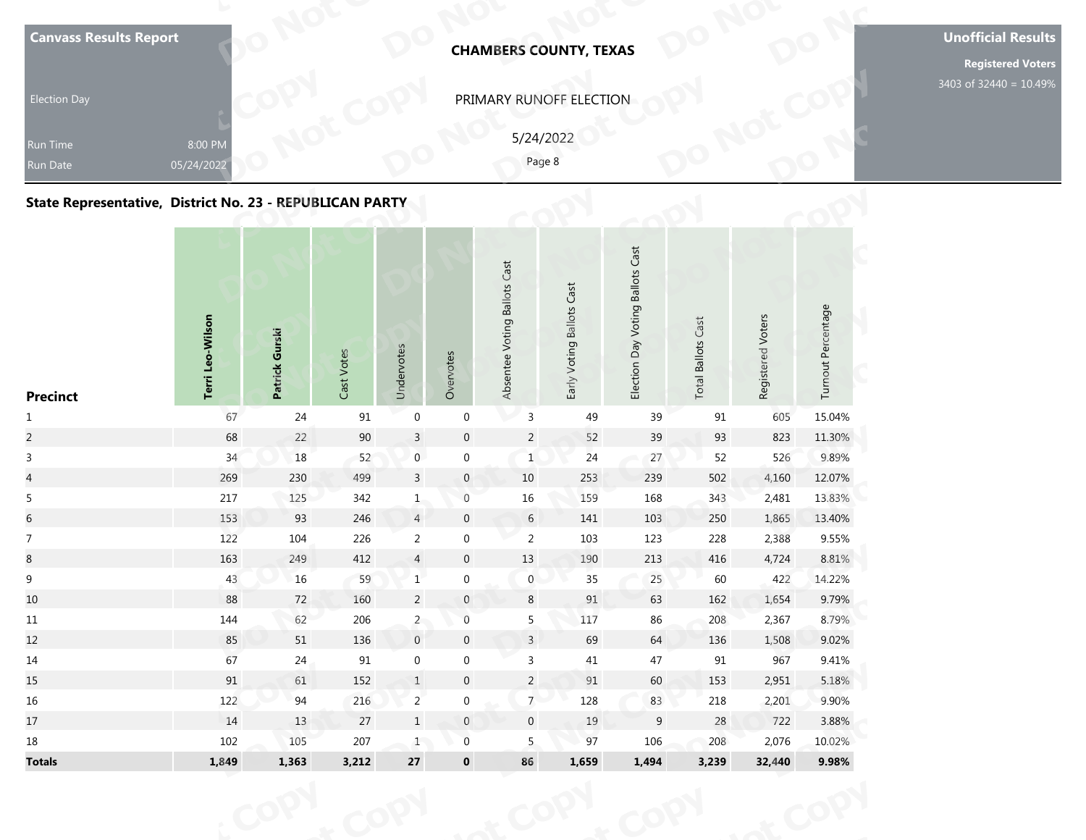| <b>Election Day</b><br>Run Time<br>Run Date<br>State Representative, District No. 23 - REPUBLICAN PARTY | 8:00 PM<br>05/24/2022 |                |            |            |           | PRIMARY RUNOFF ELECTION      | 5/24/2022<br>Page 8       |                                               |                          |                   |                    | 3403 of 32440 = 10.49% |
|---------------------------------------------------------------------------------------------------------|-----------------------|----------------|------------|------------|-----------|------------------------------|---------------------------|-----------------------------------------------|--------------------------|-------------------|--------------------|------------------------|
| <b>Precinct</b>                                                                                         | Terri Leo-Wilson      | Patrick Gurski | Cast Votes | Undervotes | Overvotes | Absentee Voting Ballots Cast | Early Voting Ballots Cast | <b>Voting Ballots Cast</b><br>VeQ<br>Election | Cast<br>Ballots<br>Total | Registered Voters | Turnout Percentage |                        |

## **State Representative, District No. 23 - REPUBLICAN PARTY**

| <b>Canvass Results Report</b>                            |                       |                |            |                  |                  | <b>CHAMBERS COUNTY, TEXAS</b> |                           |                                  |                           |                   |                    | <b>Unoffic</b> |
|----------------------------------------------------------|-----------------------|----------------|------------|------------------|------------------|-------------------------------|---------------------------|----------------------------------|---------------------------|-------------------|--------------------|----------------|
| <b>Election Day</b>                                      |                       |                |            |                  |                  | PRIMARY RUNOFF ELECTION       |                           |                                  |                           |                   |                    | 3403 of 32     |
|                                                          |                       |                |            |                  |                  | 5/24/2022                     |                           |                                  |                           |                   |                    |                |
| Run Time<br>Run Date                                     | 8:00 PM<br>05/24/2022 |                |            |                  |                  | Page 8                        |                           |                                  |                           |                   |                    |                |
| State Representative, District No. 23 - REPUBLICAN PARTY |                       |                |            |                  |                  |                               |                           |                                  |                           |                   |                    |                |
| <b>Precinct</b>                                          | Terri Leo-Wilson      | Patrick Gurski | Cast Votes | Undervotes       | Overvotes        | Absentee Voting Ballots Cast  | Early Voting Ballots Cast | Election Day Voting Ballots Cast | <b>Total Ballots Cast</b> | Registered Voters | Turnout Percentage |                |
| $\mathbf{1}$                                             | 67                    | 24             | 91         | $\boldsymbol{0}$ | $\boldsymbol{0}$ | $\mathsf{3}$                  | 49                        | 39                               | $91\,$                    | 605               | 15.04%             |                |
| $\overline{a}$                                           | 68                    | 22             | $90\,$     | $\mathbf{3}$     | $\boldsymbol{0}$ | $\overline{c}$                | 52                        | 39                               | 93                        | 823               | 11.30%             |                |
| $\mathbf{3}$                                             | 34                    | 18             | 52         | $\mathbf 0$      | $\boldsymbol{0}$ | $\mathbf{1}$                  | 24                        | 27                               | 52                        | 526               | 9.89%              |                |
| $\overline{\mathcal{L}}$                                 | 269                   | 230            | 499        | $\mathbf{3}$     | $\pmb{0}$        | $10\,$                        | 253                       | 239                              | 502                       | 4,160             | 12.07%             |                |
| $\sqrt{5}$                                               | $217\,$               | 125            | 342        | 1                | $\boldsymbol{0}$ | $16\,$                        | 159                       | 168                              | 343                       | 2,481             | 13.83%             |                |
| $\sqrt{6}$                                               | 153                   | 93             | 246        | $\overline{4}$   | $\pmb{0}$        | $6\,$                         | 141                       | 103                              | 250                       | 1,865             | 13.40%             |                |
| $\overline{7}$                                           | 122                   | 104            | 226        | $\overline{2}$   | $\boldsymbol{0}$ | $\overline{2}$                | 103                       | 123                              | 228                       | 2,388             | 9.55%              |                |
| $\,8\,$                                                  | 163                   | 249            | 412        | $\overline{4}$   | $\pmb{0}$        | $13\,$                        | 190                       | $213\,$                          | 416                       | 4,724             | 8.81%              |                |
| $\boldsymbol{9}$                                         | 43                    | 16             | 59         | $1\,$            | $\boldsymbol{0}$ | $\boldsymbol{0}$              | $35\,$                    | 25                               | 60                        | 422               | 14.22%             |                |
| 10                                                       | 88                    | 72             | 160        | $\overline{2}$   | $\mathbf{0}$     | 8                             | 91                        | 63                               | 162                       | 1,654             | 9.79%              |                |
| 11                                                       | 144                   | 62             | 206        | $\overline{2}$   | $\,0\,$          | 5                             | 117                       | 86                               | 208                       | 2,367             | 8.79%              |                |
| 12                                                       | 85                    | $51\,$         | 136        | $\,0\,$          | $\pmb{0}$        | $\overline{3}$                | 69                        | 64                               | 136                       | 1,508             | 9.02%              |                |
| 14                                                       | 67                    | 24             | 91         | $\boldsymbol{0}$ | $\boldsymbol{0}$ | $\mathbf{3}$                  | 41                        | 47                               | 91                        | 967               | 9.41%              |                |
| 15                                                       | 91                    | 61             | 152        | $\mathbf{1}$     | $\pmb{0}$        | $\overline{c}$                | 91                        | 60                               | 153                       | 2,951             | 5.18%              |                |
| 16                                                       | 122                   | 94             | 216        | $\overline{2}$   | $\pmb{0}$        | 7 <sup>7</sup>                | 128                       | 83                               | 218                       | 2,201             | 9.90%              |                |
| 17                                                       | 14                    | 13             | 27         | $1\,$            | $\mathbf 0$      | $\pmb{0}$                     | $19\,$                    | $\boldsymbol{9}$                 | 28                        | 722               | 3.88%              |                |
| 18                                                       | 102                   | 105            | 207        | $\mathbf{1}$     | $\boldsymbol{0}$ | $5\phantom{.0}$               | 97                        | 106                              | 208                       | 2,076             | 10.02%             |                |
| <b>Totals</b>                                            | 1,849                 | 1,363          | 3,212      | ${\bf 27}$       | $\pmb{0}$        | 86                            | 1,659                     | 1,494                            | 3,239                     | 32,440            | 9.98%              |                |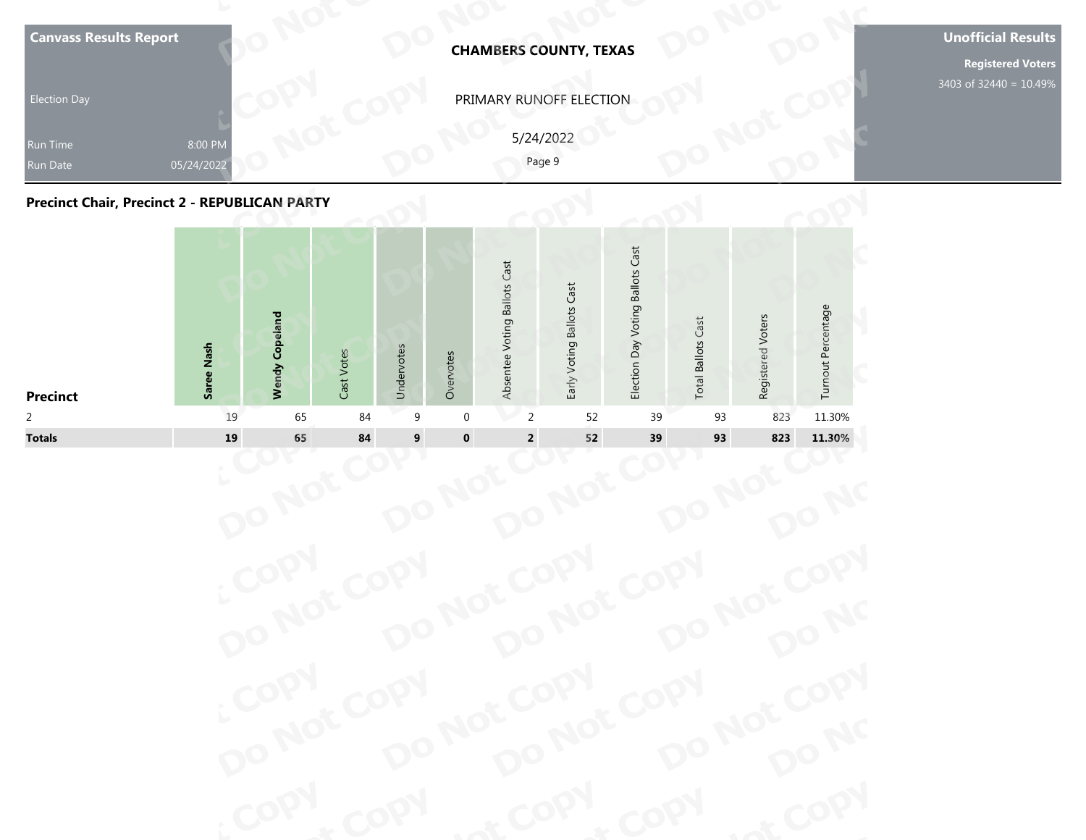| <b>Canvass Results Report</b><br><b>Election Day</b><br>Run Time<br><b>Run Date</b><br><b>Precinct Chair, Precinct 2 - REPUBLICAN PARTY</b> | 8:00 PM<br>05/24/2022 |                       |            |            |           |                              | <b>CHAMBERS COUNTY, TEXAS</b><br>PRIMARY RUNOFF ELECTION<br>5/24/2022<br>Page 9 |                                  |                           |                   |                    |  |
|---------------------------------------------------------------------------------------------------------------------------------------------|-----------------------|-----------------------|------------|------------|-----------|------------------------------|---------------------------------------------------------------------------------|----------------------------------|---------------------------|-------------------|--------------------|--|
|                                                                                                                                             | Saree Nash            | <b>Wendy Copeland</b> | Cast Votes | Undervotes | Overvotes | Absentee Voting Ballots Cast | Early Voting Ballots Cast                                                       | Election Day Voting Ballots Cast | <b>Total Ballots Cast</b> | Registered Voters | Turnout Percentage |  |



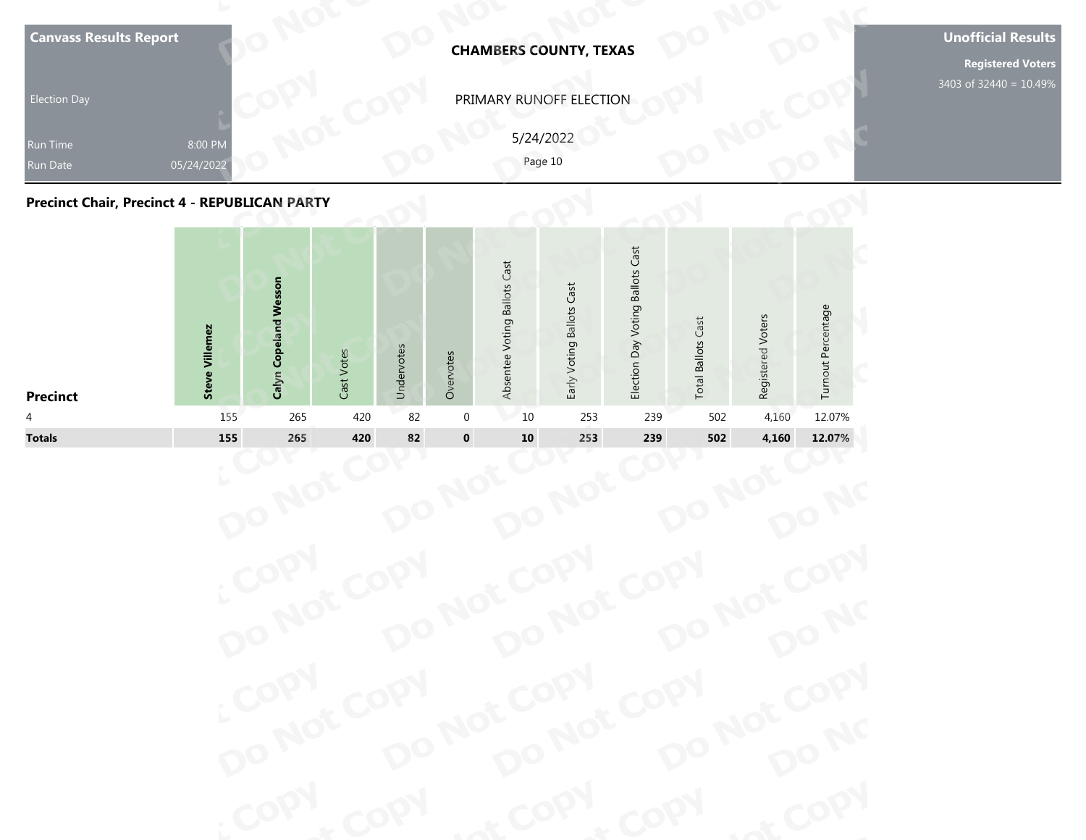| <b>Election Day</b><br>Run Time<br>Run Date<br><b>Precinct Chair, Precinct 4 - REPUBLICAN PARTY</b> | 8:00 PM<br>05/24/2022 |                                 |               |            |           |                              | <b>CHAMBERS COUNTY, TEXAS</b><br>PRIMARY RUNOFF ELECTION<br>5/24/2022<br>Page 10 |                                  |                              |                   |                    |
|-----------------------------------------------------------------------------------------------------|-----------------------|---------------------------------|---------------|------------|-----------|------------------------------|----------------------------------------------------------------------------------|----------------------------------|------------------------------|-------------------|--------------------|
| <b>Precinct</b>                                                                                     | Villemez<br>Steve     | <b>Copeland Wesson</b><br>Calyn | Votes<br>Cast | Undervotes | Overvotes | Absentee Voting Ballots Cast | Early Voting Ballots Cast                                                        | Election Day Voting Ballots Cast | Cast<br><b>Total Ballots</b> | Registered Voters | Turnout Percentage |

| PRIMARY RUNOFF ELECTION<br><b>Election Day</b><br>5/24/2022<br>8:00 PM<br>Run Time<br>Page 10<br>05/24/2022<br>Run Date<br><b>Precinct Chair, Precinct 4 - REPUBLICAN PARTY</b>                                                                               |                    |
|---------------------------------------------------------------------------------------------------------------------------------------------------------------------------------------------------------------------------------------------------------------|--------------------|
|                                                                                                                                                                                                                                                               |                    |
|                                                                                                                                                                                                                                                               |                    |
|                                                                                                                                                                                                                                                               |                    |
| Election Day Voting Ballots Cast<br>Absentee Voting Ballots Cast<br>Calyn Copeland Wesson<br>Early Voting Ballots Cast<br>Registered Voters<br><b>Total Ballots Cast</b><br><b>Steve Villemez</b><br>Undervotes<br>Cast Votes<br>Overvotes<br><b>Precinct</b> | Turnout Percentage |
| 265<br>420<br>82<br>4,160<br>155<br>$\mathbf 0$<br>10<br>253<br>239<br>502<br>4                                                                                                                                                                               | 12.07%             |
| $\pmb{0}$<br>82<br><b>Totals</b><br>155<br>420<br>${\bf 10}$<br>239<br>502<br>265<br>253<br>4,160                                                                                                                                                             | 12.07%             |

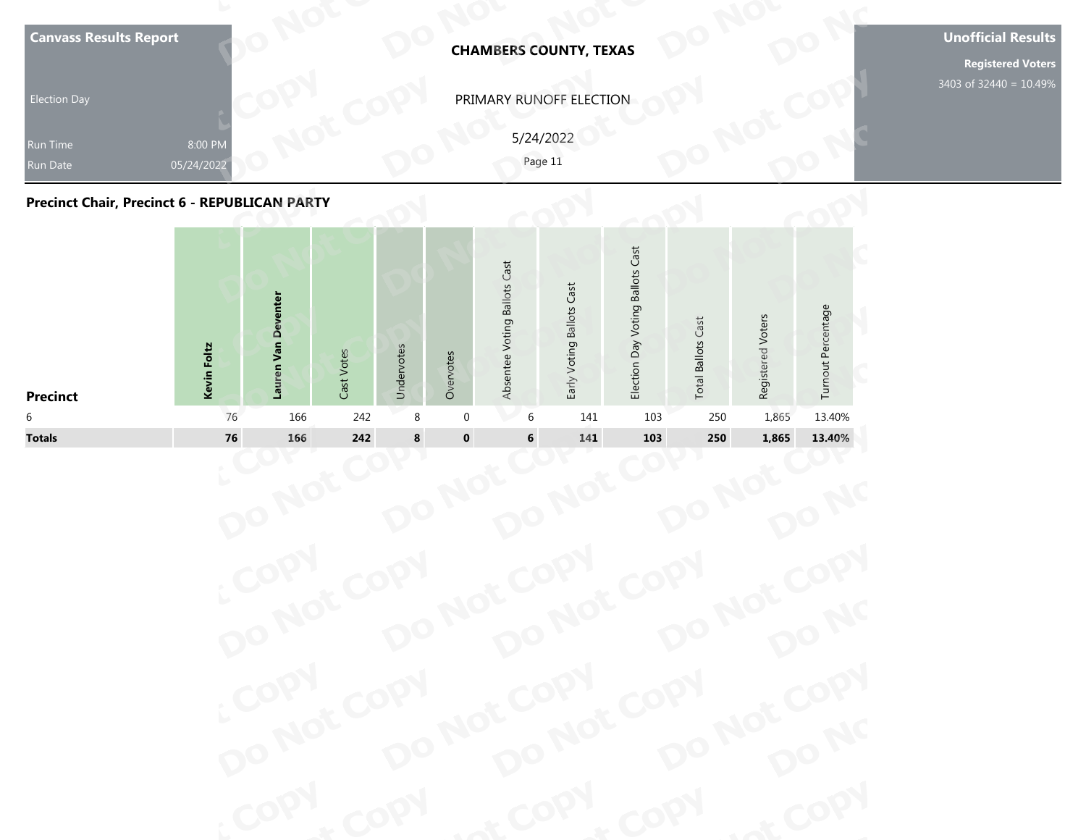| <b>Election Day</b><br><b>Run Time</b><br>Run Date<br><b>Precinct Chair, Precinct 6 - REPUBLICAN PARTY</b> | 8:00 PM<br>05/24/2022 |                     |            |            |           |                              | <b>CHAMBERS COUNTY, TEXAS</b><br>PRIMARY RUNOFF ELECTION<br>5/24/2022<br>Page 11 |                                  |                           |                   |                    | <b>Registered Voters</b><br>3403 of 32440 = 10.49% |
|------------------------------------------------------------------------------------------------------------|-----------------------|---------------------|------------|------------|-----------|------------------------------|----------------------------------------------------------------------------------|----------------------------------|---------------------------|-------------------|--------------------|----------------------------------------------------|
| <b>Precinct</b>                                                                                            | Kevin Foltz           | Lauren Van Deventer | Cast Votes | Undervotes | Overvotes | Absentee Voting Ballots Cast | Early Voting Ballots Cast                                                        | Election Day Voting Ballots Cast | <b>Total Ballots Cast</b> | Registered Voters | Turnout Percentage |                                                    |

| PRIMARY RUNOFF ELECTION<br><b>Election Day</b><br>5/24/2022<br>8:00 PM<br>Run Time<br>Page 11<br>05/24/2022<br>Run Date<br><b>Precinct Chair, Precinct 6 - REPUBLICAN PARTY</b>                                                                                         |
|-------------------------------------------------------------------------------------------------------------------------------------------------------------------------------------------------------------------------------------------------------------------------|
|                                                                                                                                                                                                                                                                         |
|                                                                                                                                                                                                                                                                         |
|                                                                                                                                                                                                                                                                         |
| Election Day Voting Ballots Cast<br>Absentee Voting Ballots Cast<br>Early Voting Ballots Cast<br>Lauren Van Deventer<br>Turnout Percentage<br>Registered Voters<br><b>Total Ballots Cast</b><br>Kevin Foltz<br>Undervotes<br>Cast Votes<br>Overvotes<br><b>Precinct</b> |
| 242<br>1,865<br>13.40%<br>6<br>76<br>166<br>8<br>$\mathbf 0$<br>141<br>103<br>250<br>6                                                                                                                                                                                  |
| $\pmb{0}$<br><b>Totals</b><br>76<br>242<br>8<br>166<br>6<br>141<br>103<br>250<br>1,865<br>13.40%                                                                                                                                                                        |

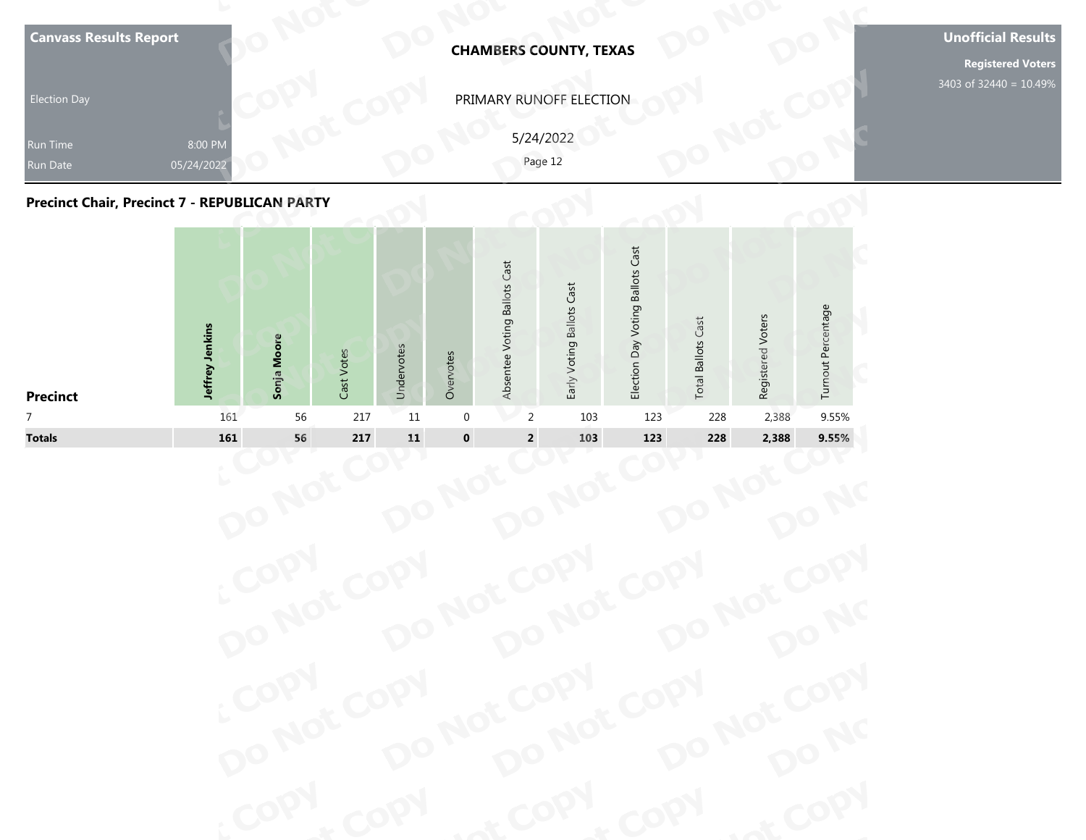| Precinct Chair, Precinct 7 - REPUBLICAN PARTY | 05/24/2022      |             |            |            |           |                              | Page 12                   |                                  |                           |                   |                    |  |
|-----------------------------------------------|-----------------|-------------|------------|------------|-----------|------------------------------|---------------------------|----------------------------------|---------------------------|-------------------|--------------------|--|
| <b>Precinct</b>                               | Jeffrey Jenkins | Sonja Moore | Cast Votes | Undervotes | Overvotes | Absentee Voting Ballots Cast | Early Voting Ballots Cast | Election Day Voting Ballots Cast | <b>Total Ballots Cast</b> | Registered Voters | Turnout Percentage |  |

| PRIMARY RUNOFF ELECTION<br><b>Election Day</b><br>5/24/2022<br>8:00 PM<br>Run Time<br>Page 12<br>05/24/2022<br><b>Run Date</b><br><b>Precinct Chair, Precinct 7 - REPUBLICAN PARTY</b>                                                                              |       |
|---------------------------------------------------------------------------------------------------------------------------------------------------------------------------------------------------------------------------------------------------------------------|-------|
|                                                                                                                                                                                                                                                                     |       |
|                                                                                                                                                                                                                                                                     |       |
|                                                                                                                                                                                                                                                                     |       |
| Election Day Voting Ballots Cast<br>Absentee Voting Ballots Cast<br>Early Voting Ballots Cast<br>Turnout Percentage<br>Registered Voters<br><b>Total Ballots Cast</b><br>Jeffrey Jenkins<br>Sonja Moore<br>Undervotes<br>Cast Votes<br>Overvotes<br><b>Precinct</b> |       |
| 217<br>$11\,$<br>2,388<br>$\overline{7}$<br>161<br>56<br>$\mathbf 0$<br>2<br>103<br>123<br>228                                                                                                                                                                      | 9.55% |
| $\pmb{0}$<br>$\bf 11$<br><b>Totals</b><br>56<br>217<br>$\mathbf 2$<br>228<br>161<br>103<br>123<br>2,388                                                                                                                                                             | 9.55% |

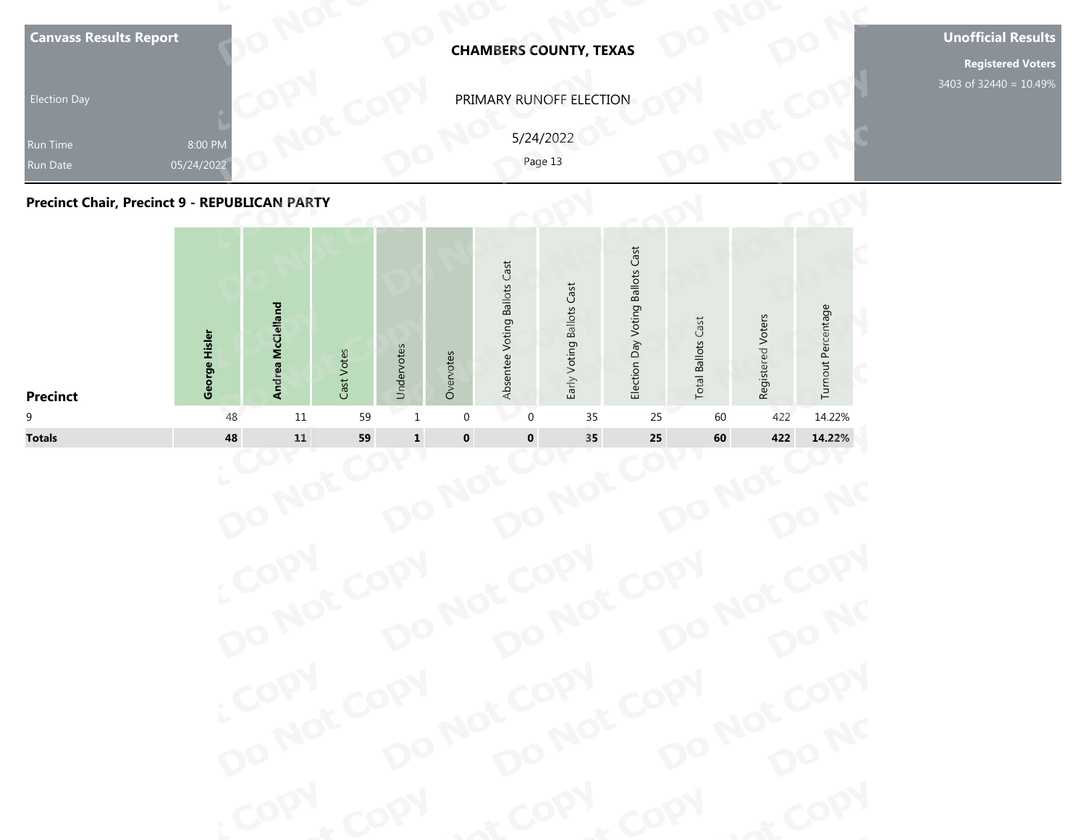| <b>Run Date</b><br><b>Precinct Chair, Precinct 9 - REPUBLICAN PARTY</b> | 05/24/2022    |                   |            |            |           |                              | Page 13                   |                                  |                           |                   |                    |
|-------------------------------------------------------------------------|---------------|-------------------|------------|------------|-----------|------------------------------|---------------------------|----------------------------------|---------------------------|-------------------|--------------------|
| <b>Precinct</b>                                                         | George Hisler | Andrea McClelland | Cast Votes | Undervotes | Overvotes | Absentee Voting Ballots Cast | Early Voting Ballots Cast | Election Day Voting Ballots Cast | <b>Total Ballots Cast</b> | Registered Voters | Turnout Percentage |



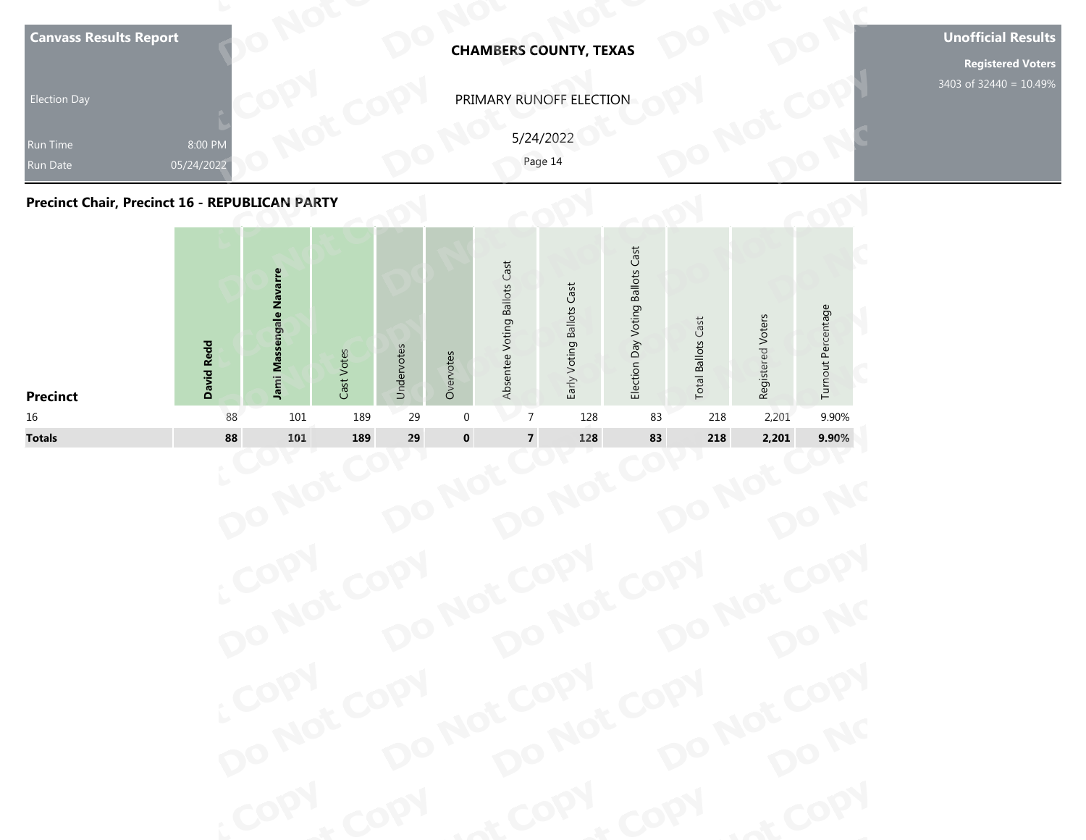| Run Time<br>Run Date<br>Precinct Chair, Precinct 16 - REPUBLICAN PARTY | 8:00 PM<br>05/24/2022 |                         |               |            |           |                              | PRIMARY RUNOFF ELECTION<br>5/24/2022<br>Page 14 |                                  |                              |                   |                    |
|------------------------------------------------------------------------|-----------------------|-------------------------|---------------|------------|-----------|------------------------------|-------------------------------------------------|----------------------------------|------------------------------|-------------------|--------------------|
|                                                                        | David Redd            | Jami Massengale Navarre | Votes<br>Cast | Undervotes | Overvotes | Absentee Voting Ballots Cast | Early Voting Ballots Cast                       | Election Day Voting Ballots Cast | Cast<br><b>Total Ballots</b> | Registered Voters | Turnout Percentage |

| <b>Election Day</b><br>Run Time                |                       |                         |            |            |             |                              | <b>CHAMBERS COUNTY, TEXAS</b> |                                  |                           |                   |                    |
|------------------------------------------------|-----------------------|-------------------------|------------|------------|-------------|------------------------------|-------------------------------|----------------------------------|---------------------------|-------------------|--------------------|
|                                                |                       |                         |            |            |             |                              | PRIMARY RUNOFF ELECTION       |                                  |                           |                   |                    |
| Run Date                                       | 8:00 PM<br>05/24/2022 |                         |            |            |             | 5/24/2022<br>Page 14         |                               |                                  |                           |                   |                    |
| Precinct Chair, Precinct 16 - REPUBLICAN PARTY |                       |                         |            |            |             |                              |                               |                                  |                           |                   |                    |
| <b>Precinct</b>                                | <b>David Redd</b>     | Jami Massengale Navarre | Cast Votes | Undervotes | Overvotes   | Absentee Voting Ballots Cast | Early Voting Ballots Cast     | Election Day Voting Ballots Cast | <b>Total Ballots Cast</b> | Registered Voters | Turnout Percentage |
| 16                                             | 88                    | 101                     | 189        | 29         | $\mathbf 0$ | $\overline{7}$               | 128                           | 83                               | 218                       | 2,201             | 9.90%              |
| <b>Totals</b>                                  | 88                    | 101                     | 189        | 29         | $\pmb{0}$   | $\overline{7}$               | 128                           | 83                               | 218                       | 2,201             | 9.90%              |

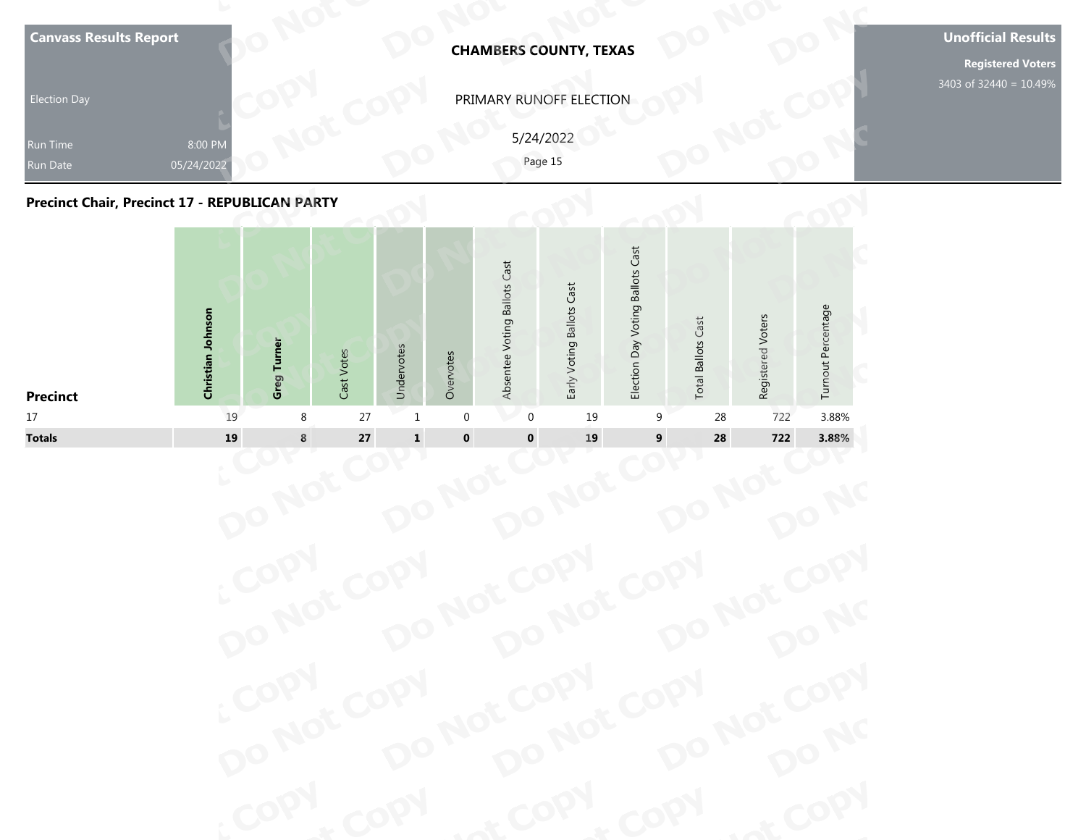| <b>Canvass Results Report</b><br><b>Election Day</b><br>Run Time<br>Run Date<br>Precinct Chair, Precinct 17 - REPUBLICAN PARTY | 8:00 PM<br>05/24/2022 |             |            |            |           |                              | <b>CHAMBERS COUNTY, TEXAS</b><br>PRIMARY RUNOFF ELECTION<br>5/24/2022<br>Page 15 |                                  |                              |                   |                    | <b>Unofficial Results</b><br>3403 of 32440 = 10.49% |
|--------------------------------------------------------------------------------------------------------------------------------|-----------------------|-------------|------------|------------|-----------|------------------------------|----------------------------------------------------------------------------------|----------------------------------|------------------------------|-------------------|--------------------|-----------------------------------------------------|
| <b>Precinct</b>                                                                                                                | Christian Johnson     | Greg Turner | Cast Votes | Undervotes | Overvotes | Absentee Voting Ballots Cast | Early Voting Ballots Cast                                                        | Election Day Voting Ballots Cast | Cast<br><b>Total Ballots</b> | Registered Voters | Turnout Percentage |                                                     |



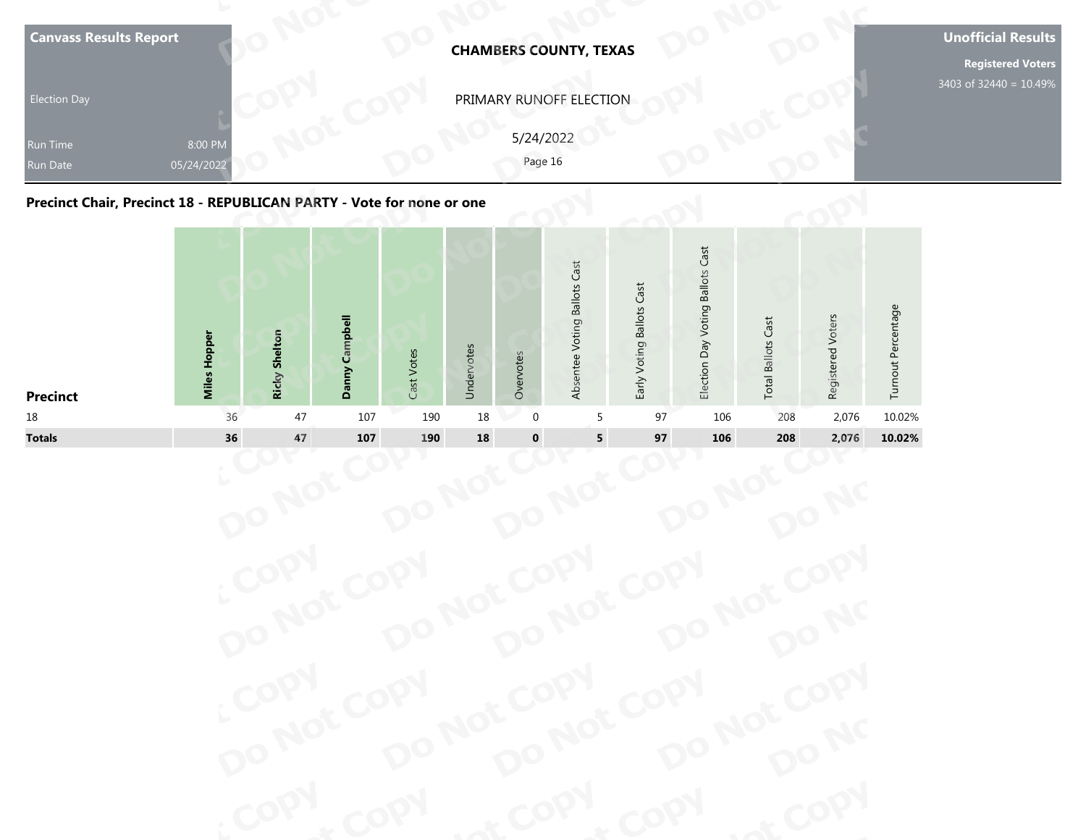| <b>Canvass Results Report</b>                                         | <b>CHAMBERS COUNTY, TEXAS</b>                   | <b>Unofficial Results</b><br><b>Registered Voters</b> |
|-----------------------------------------------------------------------|-------------------------------------------------|-------------------------------------------------------|
| <b>Election Day</b><br>8:00 PM<br>Run Time<br>05/24/2022<br>Run Date  | PRIMARY RUNOFF ELECTION<br>5/24/2022<br>Page 16 | 3403 of 32440 = 10.49%                                |
| Precinct Chair, Precinct 18 - REPUBLICAN PARTY - Vote for none or one | Cast<br>ast<br>allots<br>ä                      |                                                       |



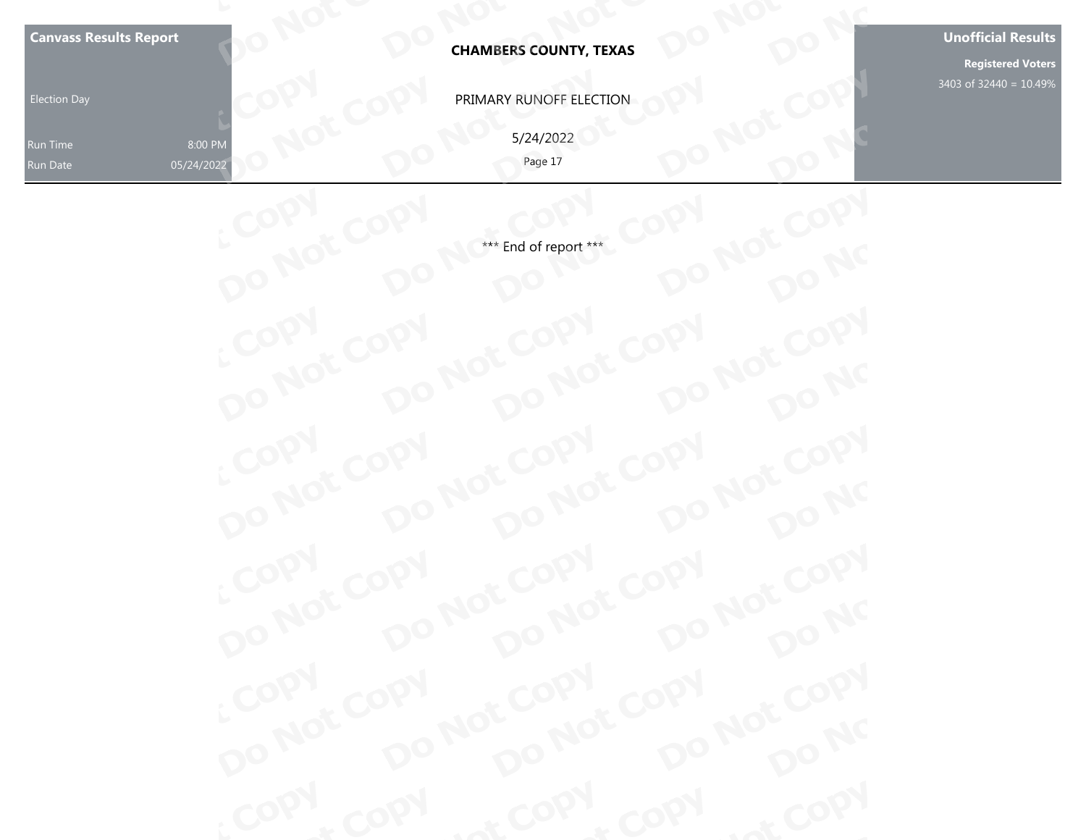| <b>Canvass Results Report</b>                 |                                                                         | <b>Unofficial Results</b> |
|-----------------------------------------------|-------------------------------------------------------------------------|---------------------------|
|                                               | <b>CHAMBERS COUNTY, TEXAS</b>                                           | <b>Registered Voters</b>  |
| <b>Election Day</b>                           | PRIMARY RUNOFF ELECTION                                                 | 3403 of 32440 = 10.49%    |
| 8:00 PM<br>Run Time<br>05/24/2022<br>Run Date | 5/24/2022<br>Page 17                                                    |                           |
|                                               |                                                                         |                           |
|                                               | *** End of report ***                                                   |                           |
|                                               |                                                                         |                           |
|                                               |                                                                         |                           |
|                                               |                                                                         |                           |
|                                               |                                                                         |                           |
|                                               |                                                                         |                           |
|                                               |                                                                         |                           |
|                                               |                                                                         |                           |
|                                               |                                                                         |                           |
|                                               |                                                                         |                           |
|                                               |                                                                         |                           |
|                                               |                                                                         |                           |
|                                               | COPY DO NOT COPY DO NOT COPY<br>COPY DO NOT COPY<br>at COPY DO NOT COPY |                           |
|                                               |                                                                         |                           |